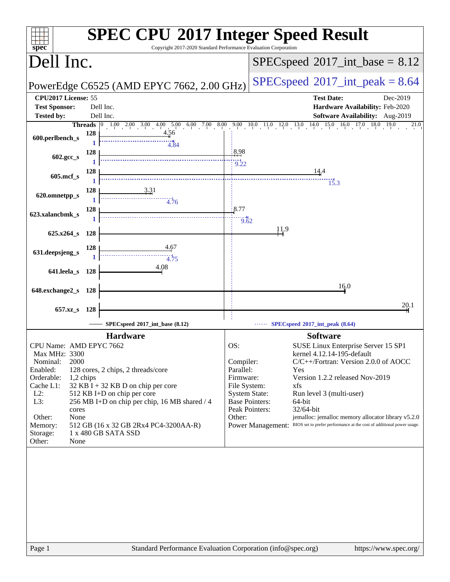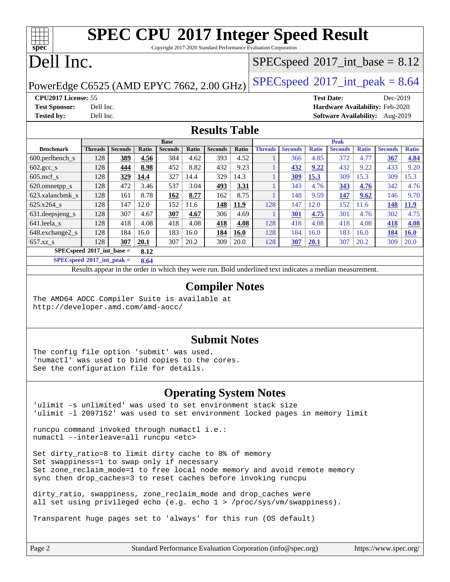Copyright 2017-2020 Standard Performance Evaluation Corporation

## Dell Inc.

**[spec](http://www.spec.org/)**

#### $SPECspeed^{\circledcirc}2017\_int\_base = 8.12$  $SPECspeed^{\circledcirc}2017\_int\_base = 8.12$

PowerEdge C6525 (AMD EPYC 7662, 2.00 GHz)  $\left|$  [SPECspeed](http://www.spec.org/auto/cpu2017/Docs/result-fields.html#SPECspeed2017intpeak)®[2017\\_int\\_peak = 8](http://www.spec.org/auto/cpu2017/Docs/result-fields.html#SPECspeed2017intpeak).64

#### **[CPU2017 License:](http://www.spec.org/auto/cpu2017/Docs/result-fields.html#CPU2017License)** 55 **[Test Date:](http://www.spec.org/auto/cpu2017/Docs/result-fields.html#TestDate)** Dec-2019

**[Test Sponsor:](http://www.spec.org/auto/cpu2017/Docs/result-fields.html#TestSponsor)** Dell Inc. **[Hardware Availability:](http://www.spec.org/auto/cpu2017/Docs/result-fields.html#HardwareAvailability)** Feb-2020 **[Tested by:](http://www.spec.org/auto/cpu2017/Docs/result-fields.html#Testedby)** Dell Inc. **[Software Availability:](http://www.spec.org/auto/cpu2017/Docs/result-fields.html#SoftwareAvailability)** Aug-2019

#### **[Results Table](http://www.spec.org/auto/cpu2017/Docs/result-fields.html#ResultsTable)**

|                                     |                |                |       | <b>Base</b>    |       |                | <b>Peak</b> |                |                |              |                |              |                |              |
|-------------------------------------|----------------|----------------|-------|----------------|-------|----------------|-------------|----------------|----------------|--------------|----------------|--------------|----------------|--------------|
| <b>Benchmark</b>                    | <b>Threads</b> | <b>Seconds</b> | Ratio | <b>Seconds</b> | Ratio | <b>Seconds</b> | Ratio       | <b>Threads</b> | <b>Seconds</b> | <b>Ratio</b> | <b>Seconds</b> | <b>Ratio</b> | <b>Seconds</b> | <b>Ratio</b> |
| $600.$ perlbench $\mathsf{S}$       | 128            | 389            | 4.56  | 384            | 4.62  | 393            | 4.52        |                | 366            | 4.85         | 372            | 4.77         | 367            | 4.84         |
| $602.\text{gcc}\s$                  | 128            | 444            | 8.98  | 452            | 8.82  | 432            | 9.23        |                | 432            | 9.22         | 432            | 9.22         | 433            | 9.20         |
| $605 \text{.mcf } s$                | 128            | 329            | 14.4  | 327            | 14.4  | 329            | 14.3        |                | 309            | 15.3         | 309            | 15.3         | 309            | 15.3         |
| 620.omnetpp_s                       | 128            | 472            | 3.46  | 537            | 3.04  | 493            | 3.31        |                | 343            | 4.76         | 343            | 4.76         | 342            | 4.76         |
| 623.xalancbmk s                     | 128            | 161            | 8.78  | <u>162</u>     | 8.77  | 162            | 8.75        |                | 148            | 9.59         | 147            | 9.62         | 146            | 9.70         |
| 625.x264 s                          | 128            | 147            | 12.0  | 152            | 11.6  | 148            | 11.9        | 128            | 147            | 12.0         | 152            | 1.6          | 148            | 11.9         |
| 631.deepsjeng_s                     | 128            | 307            | 4.67  | 307            | 4.67  | 306            | 4.69        |                | 301            | 4.75         | 301            | 4.76         | 302            | 4.75         |
| 641.leela s                         | 128            | 418            | 4.08  | 418            | 4.08  | 418            | 4.08        | 128            | 418            | 4.08         | 418            | 4.08         | 418            | 4.08         |
| 648.exchange2 s                     | 128            | 184            | 16.0  | 183            | 16.0  | 184            | 16.0        | 128            | 184            | 16.0         | 183            | 16.0         | 184            | <b>16.0</b>  |
| $657.xz$ s                          | 128            | 307            | 20.1  | 307            | 20.2  | 309            | 20.0        | 128            | 307            | 20.1         | 307            | 20.2         | 309            | 20.0         |
| $SPECspeed*2017$ int base =<br>8.12 |                |                |       |                |       |                |             |                |                |              |                |              |                |              |

**[SPECspeed](http://www.spec.org/auto/cpu2017/Docs/result-fields.html#SPECspeed2017intpeak)[2017\\_int\\_peak =](http://www.spec.org/auto/cpu2017/Docs/result-fields.html#SPECspeed2017intpeak) 8.64**

Results appear in the [order in which they were run.](http://www.spec.org/auto/cpu2017/Docs/result-fields.html#RunOrder) Bold underlined text [indicates a median measurement](http://www.spec.org/auto/cpu2017/Docs/result-fields.html#Median).

#### **[Compiler Notes](http://www.spec.org/auto/cpu2017/Docs/result-fields.html#CompilerNotes)**

The AMD64 AOCC Compiler Suite is available at <http://developer.amd.com/amd-aocc/>

#### **[Submit Notes](http://www.spec.org/auto/cpu2017/Docs/result-fields.html#SubmitNotes)**

The config file option 'submit' was used. 'numactl' was used to bind copies to the cores. See the configuration file for details.

#### **[Operating System Notes](http://www.spec.org/auto/cpu2017/Docs/result-fields.html#OperatingSystemNotes)**

'ulimit -s unlimited' was used to set environment stack size 'ulimit -l 2097152' was used to set environment locked pages in memory limit

runcpu command invoked through numactl i.e.: numactl --interleave=all runcpu <etc>

Set dirty\_ratio=8 to limit dirty cache to 8% of memory Set swappiness=1 to swap only if necessary Set zone\_reclaim\_mode=1 to free local node memory and avoid remote memory sync then drop\_caches=3 to reset caches before invoking runcpu

dirty ratio, swappiness, zone reclaim mode and drop caches were all set using privileged echo (e.g. echo 1 > /proc/sys/vm/swappiness).

Transparent huge pages set to 'always' for this run (OS default)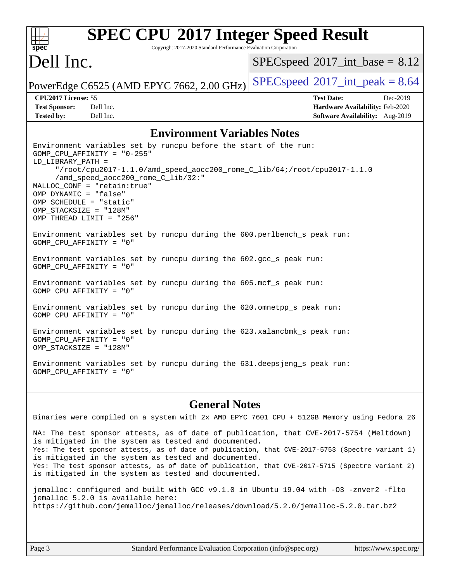#### **[spec](http://www.spec.org/) [SPEC CPU](http://www.spec.org/auto/cpu2017/Docs/result-fields.html#SPECCPU2017IntegerSpeedResult)[2017 Integer Speed Result](http://www.spec.org/auto/cpu2017/Docs/result-fields.html#SPECCPU2017IntegerSpeedResult)** Copyright 2017-2020 Standard Performance Evaluation Corporation Dell Inc. PowerEdge C6525 (AMD EPYC 7662, 2.00 GHz)  $\left|$  [SPECspeed](http://www.spec.org/auto/cpu2017/Docs/result-fields.html#SPECspeed2017intpeak)®[2017\\_int\\_peak = 8](http://www.spec.org/auto/cpu2017/Docs/result-fields.html#SPECspeed2017intpeak).64  $SPECspeed^{\circledcirc}2017\_int\_base = 8.12$  $SPECspeed^{\circledcirc}2017\_int\_base = 8.12$ **[CPU2017 License:](http://www.spec.org/auto/cpu2017/Docs/result-fields.html#CPU2017License)** 55 **[Test Date:](http://www.spec.org/auto/cpu2017/Docs/result-fields.html#TestDate)** Dec-2019 **[Test Sponsor:](http://www.spec.org/auto/cpu2017/Docs/result-fields.html#TestSponsor)** Dell Inc. **[Hardware Availability:](http://www.spec.org/auto/cpu2017/Docs/result-fields.html#HardwareAvailability)** Feb-2020 **[Tested by:](http://www.spec.org/auto/cpu2017/Docs/result-fields.html#Testedby)** Dell Inc. **[Software Availability:](http://www.spec.org/auto/cpu2017/Docs/result-fields.html#SoftwareAvailability)** Aug-2019 **[Environment Variables Notes](http://www.spec.org/auto/cpu2017/Docs/result-fields.html#EnvironmentVariablesNotes)** Environment variables set by runcpu before the start of the run: GOMP\_CPU\_AFFINITY = "0-255" LD\_LIBRARY\_PATH = "/root/cpu2017-1.1.0/amd\_speed\_aocc200\_rome\_C\_lib/64;/root/cpu2017-1.1.0 /amd\_speed\_aocc200\_rome\_C\_lib/32:" MALLOC\_CONF = "retain:true" OMP\_DYNAMIC = "false" OMP\_SCHEDULE = "static" OMP\_STACKSIZE = "128M"

Environment variables set by runcpu during the 600.perlbench\_s peak run: GOMP\_CPU\_AFFINITY = "0"

Environment variables set by runcpu during the 602.gcc\_s peak run: GOMP\_CPU\_AFFINITY = "0"

OMP\_THREAD\_LIMIT = "256"

Environment variables set by runcpu during the 605.mcf\_s peak run: GOMP\_CPU\_AFFINITY = "0"

Environment variables set by runcpu during the 620.omnetpp\_s peak run: GOMP\_CPU\_AFFINITY = "0"

Environment variables set by runcpu during the 623.xalancbmk\_s peak run: GOMP\_CPU\_AFFINITY = "0" OMP\_STACKSIZE = "128M"

Environment variables set by runcpu during the 631.deepsjeng\_s peak run: GOMP\_CPU\_AFFINITY = "0"

#### **[General Notes](http://www.spec.org/auto/cpu2017/Docs/result-fields.html#GeneralNotes)** Binaries were compiled on a system with 2x AMD EPYC 7601 CPU + 512GB Memory using Fedora 26

NA: The test sponsor attests, as of date of publication, that CVE-2017-5754 (Meltdown) is mitigated in the system as tested and documented. Yes: The test sponsor attests, as of date of publication, that CVE-2017-5753 (Spectre variant 1) is mitigated in the system as tested and documented. Yes: The test sponsor attests, as of date of publication, that CVE-2017-5715 (Spectre variant 2) is mitigated in the system as tested and documented.

jemalloc: configured and built with GCC v9.1.0 in Ubuntu 19.04 with -O3 -znver2 -flto jemalloc 5.2.0 is available here: <https://github.com/jemalloc/jemalloc/releases/download/5.2.0/jemalloc-5.2.0.tar.bz2>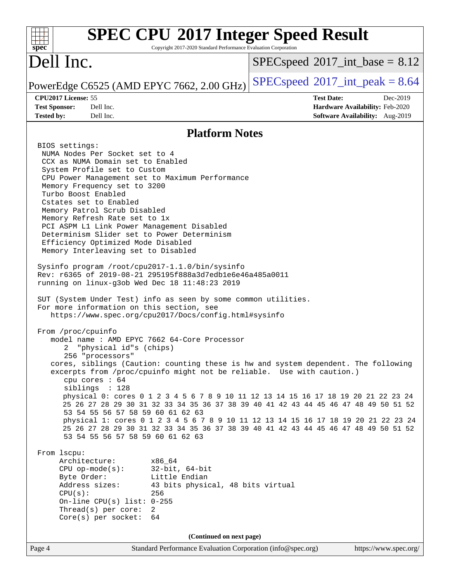| <b>SPEC CPU®2017 Integer Speed Result</b><br>spec <sup>®</sup><br>Copyright 2017-2020 Standard Performance Evaluation Corporation                                                                                                                                                                                                                                                                                                                                                                                                                                                                                                                                                                                                                                                                                                                                                                                                                                                                                                                                                                                                                                                                                                                                                                                                                                                                                                                                                                                                                                                                                                                     |                                                                  |
|-------------------------------------------------------------------------------------------------------------------------------------------------------------------------------------------------------------------------------------------------------------------------------------------------------------------------------------------------------------------------------------------------------------------------------------------------------------------------------------------------------------------------------------------------------------------------------------------------------------------------------------------------------------------------------------------------------------------------------------------------------------------------------------------------------------------------------------------------------------------------------------------------------------------------------------------------------------------------------------------------------------------------------------------------------------------------------------------------------------------------------------------------------------------------------------------------------------------------------------------------------------------------------------------------------------------------------------------------------------------------------------------------------------------------------------------------------------------------------------------------------------------------------------------------------------------------------------------------------------------------------------------------------|------------------------------------------------------------------|
| Dell Inc.                                                                                                                                                                                                                                                                                                                                                                                                                                                                                                                                                                                                                                                                                                                                                                                                                                                                                                                                                                                                                                                                                                                                                                                                                                                                                                                                                                                                                                                                                                                                                                                                                                             | $SPEC speed^{\circ}2017\_int\_base = 8.12$                       |
| PowerEdge C6525 (AMD EPYC 7662, 2.00 GHz)                                                                                                                                                                                                                                                                                                                                                                                                                                                                                                                                                                                                                                                                                                                                                                                                                                                                                                                                                                                                                                                                                                                                                                                                                                                                                                                                                                                                                                                                                                                                                                                                             | $SPEC speed^{\circ}2017\_int\_peak = 8.64$                       |
| CPU2017 License: 55<br><b>Test Sponsor:</b><br>Dell Inc.                                                                                                                                                                                                                                                                                                                                                                                                                                                                                                                                                                                                                                                                                                                                                                                                                                                                                                                                                                                                                                                                                                                                                                                                                                                                                                                                                                                                                                                                                                                                                                                              | <b>Test Date:</b><br>Dec-2019<br>Hardware Availability: Feb-2020 |
| <b>Tested by:</b><br>Dell Inc.                                                                                                                                                                                                                                                                                                                                                                                                                                                                                                                                                                                                                                                                                                                                                                                                                                                                                                                                                                                                                                                                                                                                                                                                                                                                                                                                                                                                                                                                                                                                                                                                                        | Software Availability: Aug-2019                                  |
| <b>Platform Notes</b>                                                                                                                                                                                                                                                                                                                                                                                                                                                                                                                                                                                                                                                                                                                                                                                                                                                                                                                                                                                                                                                                                                                                                                                                                                                                                                                                                                                                                                                                                                                                                                                                                                 |                                                                  |
| BIOS settings:<br>NUMA Nodes Per Socket set to 4<br>CCX as NUMA Domain set to Enabled<br>System Profile set to Custom<br>CPU Power Management set to Maximum Performance<br>Memory Frequency set to 3200<br>Turbo Boost Enabled<br>Cstates set to Enabled<br>Memory Patrol Scrub Disabled<br>Memory Refresh Rate set to 1x<br>PCI ASPM L1 Link Power Management Disabled<br>Determinism Slider set to Power Determinism<br>Efficiency Optimized Mode Disabled<br>Memory Interleaving set to Disabled<br>Sysinfo program /root/cpu2017-1.1.0/bin/sysinfo<br>Rev: r6365 of 2019-08-21 295195f888a3d7edble6e46a485a0011<br>running on linux-g3ob Wed Dec 18 11:48:23 2019<br>SUT (System Under Test) info as seen by some common utilities.<br>For more information on this section, see<br>https://www.spec.org/cpu2017/Docs/config.html#sysinfo<br>From /proc/cpuinfo<br>model name: AMD EPYC 7662 64-Core Processor<br>2<br>"physical id"s (chips)<br>256 "processors"<br>cores, siblings (Caution: counting these is hw and system dependent. The following<br>excerpts from /proc/cpuinfo might not be reliable. Use with caution.)<br>cpu cores : 64<br>siblings : 128<br>physical 0: cores 0 1 2 3 4 5 6 7 8 9 10 11 12 13 14 15 16 17 18 19 20 21 22 23 24<br>25 26 27 28 29 30 31 32 33 34 35 36 37 38 39 40 41 42 43 44 45 46 47 48 49 50 51 52<br>53 54 55 56 57 58 59 60 61 62 63<br>physical 1: cores 0 1 2 3 4 5 6 7 8 9 10 11 12 13 14 15 16 17 18 19 20 21 22 23 24<br>25 26 27 28 29 30 31 32 33 34 35 36 37 38 39 40 41 42 43 44 45 46 47 48 49 50 51 52<br>53 54 55 56 57 58 59 60 61 62 63<br>From 1scpu:<br>Architecture:<br>x86 64 |                                                                  |
| $32$ -bit, $64$ -bit<br>$CPU$ op-mode( $s$ ):<br>Byte Order:<br>Little Endian<br>Address sizes:<br>43 bits physical, 48 bits virtual<br>CPU(s):<br>256<br>On-line CPU(s) list: $0-255$<br>Thread(s) per core:<br>2                                                                                                                                                                                                                                                                                                                                                                                                                                                                                                                                                                                                                                                                                                                                                                                                                                                                                                                                                                                                                                                                                                                                                                                                                                                                                                                                                                                                                                    |                                                                  |
| 64<br>$Core(s)$ per socket:                                                                                                                                                                                                                                                                                                                                                                                                                                                                                                                                                                                                                                                                                                                                                                                                                                                                                                                                                                                                                                                                                                                                                                                                                                                                                                                                                                                                                                                                                                                                                                                                                           |                                                                  |
| (Continued on next page)                                                                                                                                                                                                                                                                                                                                                                                                                                                                                                                                                                                                                                                                                                                                                                                                                                                                                                                                                                                                                                                                                                                                                                                                                                                                                                                                                                                                                                                                                                                                                                                                                              |                                                                  |
| Standard Performance Evaluation Corporation (info@spec.org)<br>Page 4                                                                                                                                                                                                                                                                                                                                                                                                                                                                                                                                                                                                                                                                                                                                                                                                                                                                                                                                                                                                                                                                                                                                                                                                                                                                                                                                                                                                                                                                                                                                                                                 | https://www.spec.org/                                            |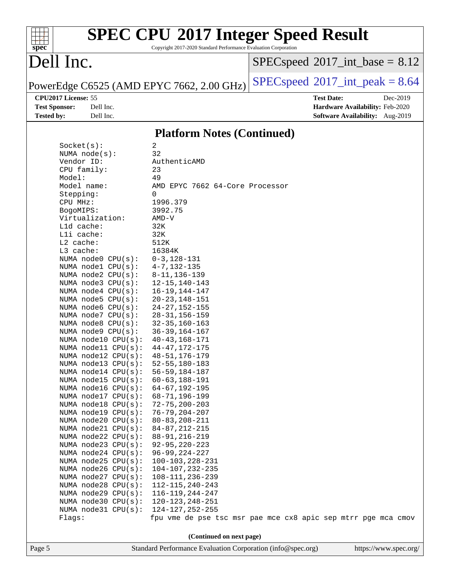# **[spec](http://www.spec.org/)**

## **[SPEC CPU](http://www.spec.org/auto/cpu2017/Docs/result-fields.html#SPECCPU2017IntegerSpeedResult)[2017 Integer Speed Result](http://www.spec.org/auto/cpu2017/Docs/result-fields.html#SPECCPU2017IntegerSpeedResult)**

Copyright 2017-2020 Standard Performance Evaluation Corporation

## Dell Inc.

 $SPECspeed*2017\_int\_base = 8.12$  $SPECspeed*2017\_int\_base = 8.12$ 

PowerEdge C6525 (AMD EPYC 7662, 2.00 GHz)  $\text{SPEC speed}^{\circ}2017\_int\_peak = 8.64$ 

**[Test Sponsor:](http://www.spec.org/auto/cpu2017/Docs/result-fields.html#TestSponsor)** Dell Inc. **[Hardware Availability:](http://www.spec.org/auto/cpu2017/Docs/result-fields.html#HardwareAvailability)** Feb-2020 **[Tested by:](http://www.spec.org/auto/cpu2017/Docs/result-fields.html#Testedby)** Dell Inc. **[Software Availability:](http://www.spec.org/auto/cpu2017/Docs/result-fields.html#SoftwareAvailability)** Aug-2019

**[CPU2017 License:](http://www.spec.org/auto/cpu2017/Docs/result-fields.html#CPU2017License)** 55 **[Test Date:](http://www.spec.org/auto/cpu2017/Docs/result-fields.html#TestDate)** Dec-2019

**[Platform Notes \(Continued\)](http://www.spec.org/auto/cpu2017/Docs/result-fields.html#PlatformNotes)**

|        | Socket(s):                 | 2                                                             |                          |  |  |                       |  |
|--------|----------------------------|---------------------------------------------------------------|--------------------------|--|--|-----------------------|--|
|        | NUMA $node(s):$            | 32                                                            |                          |  |  |                       |  |
|        | Vendor ID:                 | AuthenticAMD                                                  |                          |  |  |                       |  |
|        | CPU family:                | 23                                                            |                          |  |  |                       |  |
|        | Model:                     | 49                                                            |                          |  |  |                       |  |
|        | Model name:                | AMD EPYC 7662 64-Core Processor                               |                          |  |  |                       |  |
|        | Stepping:                  | 0                                                             |                          |  |  |                       |  |
|        | CPU MHz:                   | 1996.379                                                      |                          |  |  |                       |  |
|        | BogoMIPS:                  | 3992.75                                                       |                          |  |  |                       |  |
|        | Virtualization:            | AMD-V                                                         |                          |  |  |                       |  |
|        | Lld cache:                 | 32K                                                           |                          |  |  |                       |  |
|        | Lli cache:                 | 32K                                                           |                          |  |  |                       |  |
|        | L2 cache:                  | 512K                                                          |                          |  |  |                       |  |
|        | L3 cache:                  | 16384K                                                        |                          |  |  |                       |  |
|        | NUMA $node0$ $CPU(s)$ :    | $0 - 3, 128 - 131$                                            |                          |  |  |                       |  |
|        | NUMA $node1$ $CPU(s):$     | $4 - 7, 132 - 135$                                            |                          |  |  |                       |  |
|        | NUMA $node2$ $CPU(s):$     | $8 - 11, 136 - 139$                                           |                          |  |  |                       |  |
|        | NUMA $node3$ $CPU(s):$     | $12 - 15, 140 - 143$                                          |                          |  |  |                       |  |
|        | NUMA $node4$ $CPU(s):$     | $16 - 19, 144 - 147$                                          |                          |  |  |                       |  |
|        | NUMA $node5$ $CPU(s):$     | $20 - 23, 148 - 151$                                          |                          |  |  |                       |  |
|        | NUMA node6 $CPU(s):$       | $24 - 27, 152 - 155$                                          |                          |  |  |                       |  |
|        | NUMA node7 CPU(s):         | $28 - 31, 156 - 159$                                          |                          |  |  |                       |  |
|        | NUMA node8 CPU(s):         | $32 - 35, 160 - 163$                                          |                          |  |  |                       |  |
|        | NUMA $node9$ $CPU(s):$     | $36 - 39, 164 - 167$                                          |                          |  |  |                       |  |
|        | NUMA node10 CPU(s):        | $40 - 43, 168 - 171$                                          |                          |  |  |                       |  |
|        | NUMA $model1$ CPU $(s)$ :  | $44 - 47, 172 - 175$                                          |                          |  |  |                       |  |
|        |                            |                                                               |                          |  |  |                       |  |
|        | NUMA $node12$ CPU $(s):$   | $48 - 51, 176 - 179$                                          |                          |  |  |                       |  |
|        | NUMA $node13$ CPU $(s):$   | $52 - 55, 180 - 183$                                          |                          |  |  |                       |  |
|        | NUMA $model4$ CPU $(s):$   | $56 - 59, 184 - 187$                                          |                          |  |  |                       |  |
|        | NUMA $node15$ CPU $(s):$   | $60 - 63, 188 - 191$                                          |                          |  |  |                       |  |
|        | NUMA node $16$ CPU( $s$ ): | $64 - 67, 192 - 195$                                          |                          |  |  |                       |  |
|        | NUMA node17 CPU(s):        | $68 - 71, 196 - 199$                                          |                          |  |  |                       |  |
|        | NUMA node18 CPU(s):        | $72 - 75, 200 - 203$                                          |                          |  |  |                       |  |
|        | NUMA $node19$ CPU $(s):$   | $76 - 79, 204 - 207$                                          |                          |  |  |                       |  |
|        | NUMA $node20$ CPU $(s)$ :  | $80 - 83, 208 - 211$                                          |                          |  |  |                       |  |
|        | NUMA $node21$ CPU $(s)$ :  | $84 - 87, 212 - 215$                                          |                          |  |  |                       |  |
|        | NUMA $node22$ CPU $(s):$   | $88 - 91, 216 - 219$                                          |                          |  |  |                       |  |
|        | NUMA $node23$ CPU $(s):$   | $92 - 95, 220 - 223$                                          |                          |  |  |                       |  |
|        | NUMA node24 CPU(s):        | $96 - 99, 224 - 227$                                          |                          |  |  |                       |  |
|        | NUMA $node25$ CPU $(s):$   | $100 - 103, 228 - 231$                                        |                          |  |  |                       |  |
|        | NUMA $node26$ $CPU(s):$    | 104-107,232-235                                               |                          |  |  |                       |  |
|        | NUMA node27 CPU(s):        | 108-111, 236-239                                              |                          |  |  |                       |  |
|        | NUMA node28 CPU(s):        | 112-115, 240-243                                              |                          |  |  |                       |  |
|        | NUMA node29 CPU(s):        | 116-119, 244-247                                              |                          |  |  |                       |  |
|        | NUMA node30 CPU(s):        | $120 - 123, 248 - 251$                                        |                          |  |  |                       |  |
|        | NUMA $node31$ CPU $(s):$   | 124-127, 252-255                                              |                          |  |  |                       |  |
|        | Flags:                     | fpu vme de pse tsc msr pae mce cx8 apic sep mtrr pge mca cmov |                          |  |  |                       |  |
|        |                            |                                                               | (Continued on next page) |  |  |                       |  |
| Page 5 |                            | Standard Performance Evaluation Corporation (info@spec.org)   |                          |  |  | https://www.spec.org/ |  |
|        |                            |                                                               |                          |  |  |                       |  |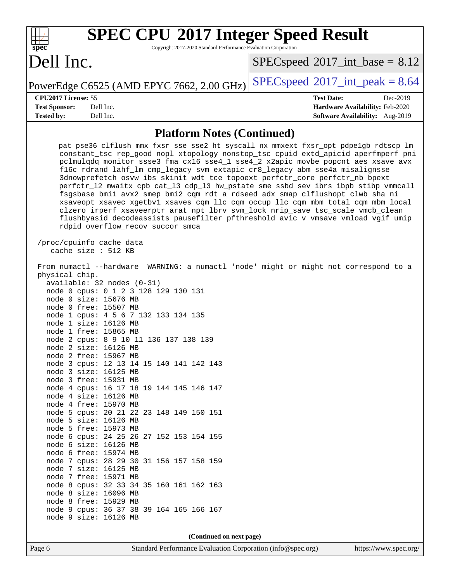| $Spec^*$ | <b>SPEC CPU®2017 Integer Speed Result</b><br>Copyright 2017-2020 Standard Performance Evaluation Corporation |
|----------|--------------------------------------------------------------------------------------------------------------|
|          | Dell Inc.<br>$\text{SPEC speed}$ <sup>®</sup> 2017_int_base = 8.12                                           |

PowerEdge C6525 (AMD EPYC 7662, 2.00 GHz) [SPECspeed](http://www.spec.org/auto/cpu2017/Docs/result-fields.html#SPECspeed2017intpeak)<sup>®</sup>[2017\\_int\\_peak = 8](http://www.spec.org/auto/cpu2017/Docs/result-fields.html#SPECspeed2017intpeak).64

**[Tested by:](http://www.spec.org/auto/cpu2017/Docs/result-fields.html#Testedby)** Dell Inc. **[Software Availability:](http://www.spec.org/auto/cpu2017/Docs/result-fields.html#SoftwareAvailability)** Aug-2019

**[CPU2017 License:](http://www.spec.org/auto/cpu2017/Docs/result-fields.html#CPU2017License)** 55 **[Test Date:](http://www.spec.org/auto/cpu2017/Docs/result-fields.html#TestDate)** Dec-2019 **[Test Sponsor:](http://www.spec.org/auto/cpu2017/Docs/result-fields.html#TestSponsor)** Dell Inc. **[Hardware Availability:](http://www.spec.org/auto/cpu2017/Docs/result-fields.html#HardwareAvailability)** Feb-2020

#### **[Platform Notes \(Continued\)](http://www.spec.org/auto/cpu2017/Docs/result-fields.html#PlatformNotes)**

| pat pse36 clflush mmx fxsr sse sse2 ht syscall nx mmxext fxsr_opt pdpe1gb rdtscp lm<br>constant_tsc rep_good nopl xtopology nonstop_tsc cpuid extd_apicid aperfmperf pni<br>pclmulqdq monitor ssse3 fma cx16 sse4_1 sse4_2 x2apic movbe popcnt aes xsave avx<br>fl6c rdrand lahf_lm cmp_legacy svm extapic cr8_legacy abm sse4a misalignsse<br>3dnowprefetch osvw ibs skinit wdt tce topoext perfctr_core perfctr_nb bpext<br>perfctr_12 mwaitx cpb cat_13 cdp_13 hw_pstate sme ssbd sev ibrs ibpb stibp vmmcall<br>fsgsbase bmil avx2 smep bmi2 cqm rdt_a rdseed adx smap clflushopt clwb sha_ni<br>xsaveopt xsavec xgetbvl xsaves cqm_llc cqm_occup_llc cqm_mbm_total cqm_mbm_local<br>clzero irperf xsaveerptr arat npt lbrv svm_lock nrip_save tsc_scale vmcb_clean<br>flushbyasid decodeassists pausefilter pfthreshold avic v_vmsave_vmload vgif umip<br>rdpid overflow_recov succor smca |  |  |  |  |  |  |  |  |  |
|-------------------------------------------------------------------------------------------------------------------------------------------------------------------------------------------------------------------------------------------------------------------------------------------------------------------------------------------------------------------------------------------------------------------------------------------------------------------------------------------------------------------------------------------------------------------------------------------------------------------------------------------------------------------------------------------------------------------------------------------------------------------------------------------------------------------------------------------------------------------------------------------------|--|--|--|--|--|--|--|--|--|
| /proc/cpuinfo cache data<br>cache size : 512 KB                                                                                                                                                                                                                                                                                                                                                                                                                                                                                                                                                                                                                                                                                                                                                                                                                                                 |  |  |  |  |  |  |  |  |  |
| From numactl --hardware WARNING: a numactl 'node' might or might not correspond to a<br>physical chip.<br>$available: 32 nodes (0-31)$<br>node 0 cpus: 0 1 2 3 128 129 130 131<br>node 0 size: 15676 MB<br>node 0 free: 15507 MB<br>node 1 cpus: 4 5 6 7 132 133 134 135<br>node 1 size: 16126 MB<br>node 1 free: 15865 MB<br>node 2 cpus: 8 9 10 11 136 137 138 139<br>node 2 size: 16126 MB<br>node 2 free: 15967 MB<br>node 3 cpus: 12 13 14 15 140 141 142 143<br>node 3 size: 16125 MB<br>node 3 free: 15931 MB<br>node 4 cpus: 16 17 18 19 144 145 146 147<br>node 4 size: 16126 MB<br>node 4 free: 15970 MB<br>node 5 cpus: 20 21 22 23 148 149 150 151<br>node 5 size: 16126 MB<br>node 5 free: 15973 MB<br>node 6 cpus: 24 25 26 27 152 153 154 155<br>node 6 size: 16126 MB<br>node 6 free: 15974 MB<br>node 7 cpus: 28 29 30 31 156 157 158 159<br>node 7 size: 16125 MB             |  |  |  |  |  |  |  |  |  |
| node 7 free: 15971 MB<br>node 8 cpus: 32 33 34 35 160 161 162 163<br>node 8 size: 16096 MB                                                                                                                                                                                                                                                                                                                                                                                                                                                                                                                                                                                                                                                                                                                                                                                                      |  |  |  |  |  |  |  |  |  |
| node 8 free: 15929 MB<br>node 9 cpus: 36 37 38 39 164 165 166 167<br>node 9 size: 16126 MB                                                                                                                                                                                                                                                                                                                                                                                                                                                                                                                                                                                                                                                                                                                                                                                                      |  |  |  |  |  |  |  |  |  |
| (Continued on next page)                                                                                                                                                                                                                                                                                                                                                                                                                                                                                                                                                                                                                                                                                                                                                                                                                                                                        |  |  |  |  |  |  |  |  |  |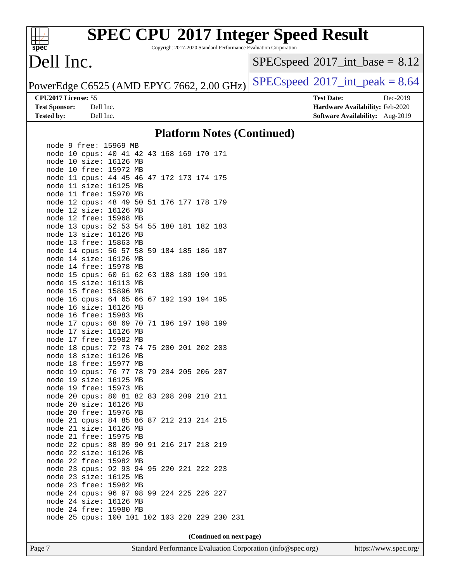Copyright 2017-2020 Standard Performance Evaluation Corporation

## Dell Inc.

**[spec](http://www.spec.org/)**

 $\pm$ 

 $SPEC speed$ <sup>®</sup> $2017$ \_int\_base = 8.12

PowerEdge C6525 (AMD EPYC 7662, 2.00 GHz)  $\text{SPEC speed}^{\circ}2017\_int\_peak = 8.64$ 

**[CPU2017 License:](http://www.spec.org/auto/cpu2017/Docs/result-fields.html#CPU2017License)** 55 **[Test Date:](http://www.spec.org/auto/cpu2017/Docs/result-fields.html#TestDate)** Dec-2019 **[Test Sponsor:](http://www.spec.org/auto/cpu2017/Docs/result-fields.html#TestSponsor)** Dell Inc. **[Hardware Availability:](http://www.spec.org/auto/cpu2017/Docs/result-fields.html#HardwareAvailability)** Feb-2020 **[Tested by:](http://www.spec.org/auto/cpu2017/Docs/result-fields.html#Testedby)** Dell Inc. **[Software Availability:](http://www.spec.org/auto/cpu2017/Docs/result-fields.html#SoftwareAvailability)** Aug-2019

#### **[Platform Notes \(Continued\)](http://www.spec.org/auto/cpu2017/Docs/result-fields.html#PlatformNotes)**

|      | node 9 free: 15969 MB                         |                             |    |       |                |                       |     |  |
|------|-----------------------------------------------|-----------------------------|----|-------|----------------|-----------------------|-----|--|
|      | node 10 cpus: 40 41                           |                             |    |       |                | 42 43 168 169 170 171 |     |  |
|      | node 10 size: 16126 MB                        |                             |    |       |                |                       |     |  |
|      | node 10 free:                                 | 15972                       | MB |       |                |                       |     |  |
|      | node 11 cpus: 44 45 46                        |                             |    |       |                | 47 172 173 174 175    |     |  |
|      | node 11 size:                                 | 16125                       | МB |       |                |                       |     |  |
|      | node 11 free:                                 | 15970                       | МB |       |                |                       |     |  |
|      | node 12 cpus:                                 | 48 49 50 51 176 177         |    |       |                | 178 179               |     |  |
|      | node 12 size:                                 | 16126                       | MB |       |                |                       |     |  |
|      | node 12 free:                                 | 15968                       | MB |       |                |                       |     |  |
|      | node 13 cpus:                                 | 52 53                       |    | 54 55 | 180 181        | 182 183               |     |  |
|      | node 13 size:                                 | 16126 MB                    |    |       |                |                       |     |  |
|      | node 13 free:                                 | 15863                       | MB |       |                |                       |     |  |
|      | node 14 cpus:                                 | 56 57                       | 58 |       |                | 59 184 185 186 187    |     |  |
|      | node 14 size:                                 | 16126                       | MB |       |                |                       |     |  |
|      | node 14 free: 15978                           |                             | MB |       |                |                       |     |  |
|      | node 15 cpus:                                 | 60 61 62 63 188 189 190 191 |    |       |                |                       |     |  |
|      | node 15 size:                                 | 16113                       | MB |       |                |                       |     |  |
|      | node 15 free:                                 | 15896                       | MB |       |                |                       |     |  |
|      | node 16 cpus: 64 65                           |                             |    |       |                | 66 67 192 193 194 195 |     |  |
|      | node 16 size:                                 | 16126                       | МB |       |                |                       |     |  |
|      | node 16 free:                                 | 15983                       | МB |       |                |                       |     |  |
|      | node 17 cpus: 68 69                           |                             | 70 |       | 71 196 197 198 |                       | 199 |  |
|      | node 17 size:                                 | 16126 MB                    |    |       |                |                       |     |  |
|      | node 17 free:                                 | 15982                       | MB |       |                |                       |     |  |
|      | node 18 cpus:                                 | 72 73 74                    |    |       |                | 75 200 201 202 203    |     |  |
|      | node 18 size:                                 | 16126                       | MB |       |                |                       |     |  |
|      | node 18 free:                                 | 15977                       | MB |       |                |                       |     |  |
|      | node 19 cpus:                                 | 76 77 78                    |    |       |                | 79 204 205 206 207    |     |  |
|      | node 19 size:                                 | 16125                       | MB |       |                |                       |     |  |
|      | node 19 free:                                 | 15973 MB                    |    |       |                |                       |     |  |
|      | node 20 cpus:                                 | 80 81                       | 82 |       |                | 83 208 209 210 211    |     |  |
|      | node 20 size:                                 | 16126 MB                    |    |       |                |                       |     |  |
|      | node 20 free:                                 | 15976                       | MB |       |                |                       |     |  |
|      | node 21 cpus:                                 | 84 85                       | 86 |       |                | 87 212 213 214 215    |     |  |
|      | node 21 size:                                 | 16126                       | MB |       |                |                       |     |  |
|      | node 21 free:                                 | 15975                       | МB |       |                |                       |     |  |
|      | node 22 cpus:                                 | 88 89 90                    |    |       |                | 91 216 217 218 219    |     |  |
|      | node 22 size:                                 | 16126                       | МB |       |                |                       |     |  |
|      | node 22 free:                                 | 15982                       | МB |       |                |                       |     |  |
|      | node 23 cpus:                                 | 92 93 94 95 220 221 222 223 |    |       |                |                       |     |  |
|      | node 23 size:                                 | 16125                       | MB |       |                |                       |     |  |
| node | 23 free:                                      | 15982                       | МB |       |                |                       |     |  |
|      | node 24 cpus:                                 | 9697                        | 98 |       | 99 224 225     | 226 227               |     |  |
|      | node 24 size:                                 | 16126                       | MB |       |                |                       |     |  |
|      | node 24 free:                                 | 15980 MB                    |    |       |                |                       |     |  |
|      | node 25 cpus: 100 101 102 103 228 229 230 231 |                             |    |       |                |                       |     |  |
|      |                                               |                             |    |       |                |                       |     |  |

**(Continued on next page)**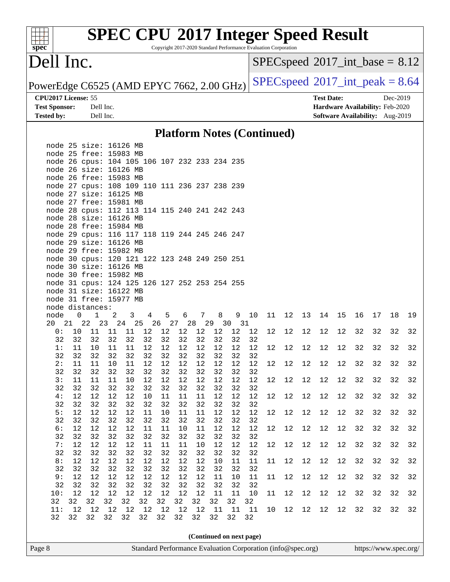Copyright 2017-2020 Standard Performance Evaluation Corporation

## Dell Inc.

**[spec](http://www.spec.org/)**

 $SPEC speed$ <sup>®</sup>[2017\\_int\\_base =](http://www.spec.org/auto/cpu2017/Docs/result-fields.html#SPECspeed2017intbase)  $8.12$ 

PowerEdge C6525 (AMD EPYC 7662, 2.00 GHz)  $\text{SPEC speed}^{\circ}2017\_int\_peak = 8.64$ 

**[CPU2017 License:](http://www.spec.org/auto/cpu2017/Docs/result-fields.html#CPU2017License)** 55 **[Test Date:](http://www.spec.org/auto/cpu2017/Docs/result-fields.html#TestDate)** Dec-2019 **[Test Sponsor:](http://www.spec.org/auto/cpu2017/Docs/result-fields.html#TestSponsor)** Dell Inc. **[Hardware Availability:](http://www.spec.org/auto/cpu2017/Docs/result-fields.html#HardwareAvailability)** Feb-2020 **[Tested by:](http://www.spec.org/auto/cpu2017/Docs/result-fields.html#Testedby)** Dell Inc. **[Software Availability:](http://www.spec.org/auto/cpu2017/Docs/result-fields.html#SoftwareAvailability)** Aug-2019

#### **[Platform Notes \(Continued\)](http://www.spec.org/auto/cpu2017/Docs/result-fields.html#PlatformNotes)**

| Page 8                                        |                                               |            |                |          |          |          |          |          |                 |          | Standard Performance Evaluation Corporation (info@spec.org) |    |        |    |       |      |    | https://www.spec.org/ |    |    |
|-----------------------------------------------|-----------------------------------------------|------------|----------------|----------|----------|----------|----------|----------|-----------------|----------|-------------------------------------------------------------|----|--------|----|-------|------|----|-----------------------|----|----|
|                                               |                                               |            |                |          |          |          |          |          |                 |          | (Continued on next page)                                    |    |        |    |       |      |    |                       |    |    |
| 32                                            | 32                                            | 32         | 32             | 32       | 32       | 32       | 32       | 32       | 32              | 32       | 32                                                          |    |        |    |       |      |    |                       |    |    |
| 11:                                           | 12                                            | 12         | 12             | 12       | 12       | 12       | 12       | 12       | 11              | 11       | $11$                                                        | 10 | 12     | 12 | 12    | 12   | 32 | 32                    | 32 | 32 |
| 32                                            | 32                                            | 32         | 32             | 32       | 32       | 32       | 32       | 32       | 32              | 32       | 32                                                          |    |        |    |       |      |    |                       |    |    |
| 10:                                           | $1\,2$                                        | 12         | 12             | 12       | 12       | 12       | 12       | 12       | 11              | $11\,$   | 10                                                          | 11 | 12     | 12 | 12    | 12   | 32 | 32                    | 32 | 32 |
| 32                                            | 32                                            | 32         | 32             | 32       | 32       | 32       | 32       | 32       | 32              | 32       | 32                                                          |    |        |    |       |      |    |                       |    |    |
| 9:                                            | 12                                            | 12         | 12             | 12       | 12       | 12       | 12       | 12       | 11              | 10       | 11                                                          | 11 | 12     | 12 | 12    | 12   | 32 | 32                    | 32 | 32 |
| 32                                            | 32                                            | 32         | 32             | 32       |          | 32 32    | 32       | 32       | 32 <sup>°</sup> | 32       | 32                                                          |    |        |    |       |      |    |                       |    |    |
| 8:                                            | 12                                            | 12         | 12             | 12       | 12       | 12       | 12       | 12       | 10              | 11       | 11                                                          | 11 | 12     | 12 | 12    | 12   | 32 | 32                    | 32 | 32 |
| 32                                            | 32                                            | 32         | 32             | 32       | 32       | 32       | 32       | 32       | 32              | 32       | 32                                                          |    |        |    |       |      |    |                       |    |    |
| 7:                                            | 12                                            | 12         | 12             | 12       | 11       | 11       | 11       | 10       | 12              | 12       | 12                                                          | 12 | 12     | 12 | 12    | 12   | 32 | 32                    | 32 | 32 |
| 32                                            | 32                                            | 32         | 32             | 32       | 32       | 32       | 32       | 32       | 32              | 32       | 32                                                          |    |        |    |       |      |    |                       |    |    |
| 6:                                            | 12                                            | 12         | 12             | 12       | 11       | 11       | 10       | 11       | 12              | 12       | 12                                                          | 12 | 12     | 12 | 12    | 12   | 32 | 32                    | 32 | 32 |
| 32                                            | 32                                            | 32         | 32             | 32       | 32       | 32       | 32       | 32       | 32              | 32       | 32                                                          |    |        |    |       |      |    |                       |    |    |
| 5:                                            | 12                                            | 12         | 12             | 12       | 11       | 10       | 11       | 11       | 12              | 12       | 12                                                          | 12 | $12\,$ | 12 | 12    | 12   | 32 | 32                    | 32 | 32 |
| 32                                            | 32                                            | 32         | 32             | 32       | 32       | 32       | 32       | 32       | 32              | 32       | 32                                                          |    |        |    |       |      |    |                       |    |    |
| 4:                                            | 12                                            | 12         | 12             | 12       | 10       | 11       | 11       | 11       | 12              | 12       | 12                                                          | 12 | 12     | 12 | 12    | 12   | 32 | 32                    | 32 | 32 |
| 32                                            | 32                                            | 32         | 32             | 32       | 32       | 32       | 32       | 32       | 32              | 32       | 32                                                          |    |        |    |       |      |    |                       |    |    |
| 3:                                            | 11                                            | 11         | 11             | 10       | 12       | 12       | 12       | 12       | 12              | 12       | 12                                                          | 12 | 12     | 12 | 12    | 12   | 32 | 32                    | 32 | 32 |
| 32                                            | 32                                            | 32         | 32             | 32       | 32       | 32       | 32       | 32       | 32              | 32       | 32                                                          |    |        |    |       |      |    |                       |    |    |
| 2:                                            | 11                                            | 11         | 10             | 11       | 12       | 12       | 12       | 12       | 12              | 12       | 12                                                          | 12 | 12     | 12 | 12    | $12$ | 32 | 32                    | 32 | 32 |
| 1:<br>32                                      | 11<br>32                                      | 10<br>32   | 11<br>32       | 11<br>32 | 12<br>32 | 12<br>32 | 12<br>32 | 12<br>32 | 12<br>32        | 12<br>32 | 12<br>32                                                    | 12 | 12     | 12 | 12    | 12   | 32 | 32                    | 32 | 32 |
| 32                                            | 32                                            | 32         | 32             | 32       | 32       | 32       | 32       | 32       | 32              | 32       | 32                                                          |    |        |    |       |      |    |                       |    |    |
| 0:                                            | 10                                            | 11         | 11             | 11       | 12       | 12       | 12       | 12       | 12              | 12       | 12                                                          | 12 | 12     | 12 | 12    | 12   | 32 | 32                    | 32 | 32 |
|                                               | 20 21 22 23 24 25 26 27 28 29 30 31           |            |                |          |          |          |          |          |                 |          |                                                             |    |        |    |       |      |    |                       |    |    |
| node                                          |                                               | $0\quad 1$ | $\overline{a}$ |          | $3 \t 4$ |          | 5 6 7 8  |          |                 |          | 9 10 11 12                                                  |    |        | 13 | 14 15 |      | 16 | 17                    | 18 | 19 |
|                                               | node distances:                               |            |                |          |          |          |          |          |                 |          |                                                             |    |        |    |       |      |    |                       |    |    |
|                                               | node 31 free: 15977 MB                        |            |                |          |          |          |          |          |                 |          |                                                             |    |        |    |       |      |    |                       |    |    |
|                                               | node 31 size: 16122 MB                        |            |                |          |          |          |          |          |                 |          |                                                             |    |        |    |       |      |    |                       |    |    |
|                                               | node 31 cpus: 124 125 126 127 252 253 254 255 |            |                |          |          |          |          |          |                 |          |                                                             |    |        |    |       |      |    |                       |    |    |
|                                               | node 30 free: 15982 MB                        |            |                |          |          |          |          |          |                 |          |                                                             |    |        |    |       |      |    |                       |    |    |
|                                               | node 30 size: 16126 MB                        |            |                |          |          |          |          |          |                 |          |                                                             |    |        |    |       |      |    |                       |    |    |
| node 30 cpus: 120 121 122 123 248 249 250 251 |                                               |            |                |          |          |          |          |          |                 |          |                                                             |    |        |    |       |      |    |                       |    |    |
|                                               | node 29 free: 15982 MB                        |            |                |          |          |          |          |          |                 |          |                                                             |    |        |    |       |      |    |                       |    |    |
|                                               | node 29 size: 16126 MB                        |            |                |          |          |          |          |          |                 |          |                                                             |    |        |    |       |      |    |                       |    |    |
|                                               | node 29 cpus: 116 117 118 119 244 245 246 247 |            |                |          |          |          |          |          |                 |          |                                                             |    |        |    |       |      |    |                       |    |    |
|                                               | node 28 free: 15984 MB                        |            |                |          |          |          |          |          |                 |          |                                                             |    |        |    |       |      |    |                       |    |    |
|                                               | node 28 size: 16126 MB                        |            |                |          |          |          |          |          |                 |          |                                                             |    |        |    |       |      |    |                       |    |    |
|                                               | node 28 cpus: 112 113 114 115 240 241 242 243 |            |                |          |          |          |          |          |                 |          |                                                             |    |        |    |       |      |    |                       |    |    |
|                                               | node 27 free: 15981 MB                        |            |                |          |          |          |          |          |                 |          |                                                             |    |        |    |       |      |    |                       |    |    |
|                                               | node 27 size: 16125 MB                        |            |                |          |          |          |          |          |                 |          |                                                             |    |        |    |       |      |    |                       |    |    |
|                                               | node 27 cpus: 108 109 110 111 236 237 238 239 |            |                |          |          |          |          |          |                 |          |                                                             |    |        |    |       |      |    |                       |    |    |
|                                               | node 26 free: 15983 MB                        |            |                |          |          |          |          |          |                 |          |                                                             |    |        |    |       |      |    |                       |    |    |
|                                               | node 26 size: 16126 MB                        |            |                |          |          |          |          |          |                 |          |                                                             |    |        |    |       |      |    |                       |    |    |
|                                               | node 26 cpus: 104 105 106 107 232 233 234 235 |            |                |          |          |          |          |          |                 |          |                                                             |    |        |    |       |      |    |                       |    |    |
|                                               | node 25 free: 15983 MB                        |            |                |          |          |          |          |          |                 |          |                                                             |    |        |    |       |      |    |                       |    |    |
|                                               | node 25 size: 16126 MB                        |            |                |          |          |          |          |          |                 |          |                                                             |    |        |    |       |      |    |                       |    |    |
|                                               |                                               |            |                |          |          |          |          |          |                 |          |                                                             |    |        |    |       |      |    |                       |    |    |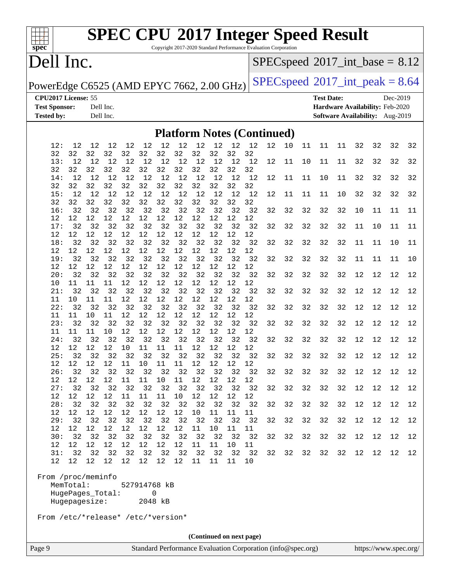#### **[spec](http://www.spec.org/)**

## **[SPEC CPU](http://www.spec.org/auto/cpu2017/Docs/result-fields.html#SPECCPU2017IntegerSpeedResult)[2017 Integer Speed Result](http://www.spec.org/auto/cpu2017/Docs/result-fields.html#SPECCPU2017IntegerSpeedResult)**

Copyright 2017-2020 Standard Performance Evaluation Corporation

## Dell Inc.

 $SPEC speed$ <sup>®</sup> $2017$ \_int\_base = 8.12

PowerEdge C6525 (AMD EPYC 7662, 2.00 GHz)  $\left|$  [SPECspeed](http://www.spec.org/auto/cpu2017/Docs/result-fields.html#SPECspeed2017intpeak)®[2017\\_int\\_peak = 8](http://www.spec.org/auto/cpu2017/Docs/result-fields.html#SPECspeed2017intpeak).64

**[CPU2017 License:](http://www.spec.org/auto/cpu2017/Docs/result-fields.html#CPU2017License)** 55 **[Test Date:](http://www.spec.org/auto/cpu2017/Docs/result-fields.html#TestDate)** Dec-2019 **[Test Sponsor:](http://www.spec.org/auto/cpu2017/Docs/result-fields.html#TestSponsor)** Dell Inc. **[Hardware Availability:](http://www.spec.org/auto/cpu2017/Docs/result-fields.html#HardwareAvailability)** Feb-2020 **[Tested by:](http://www.spec.org/auto/cpu2017/Docs/result-fields.html#Testedby)** Dell Inc. **[Software Availability:](http://www.spec.org/auto/cpu2017/Docs/result-fields.html#SoftwareAvailability)** Aug-2019

#### **[Platform Notes \(Continued\)](http://www.spec.org/auto/cpu2017/Docs/result-fields.html#PlatformNotes)**

| 12:                                | 12                | 12 | 12                |                 | 12 12           |                 | 12    12    12    12    12    12 |          |      |    |          | 12 | 10 | 11 | 11 | 11 | 32 | 32     | 32   | 32     |
|------------------------------------|-------------------|----|-------------------|-----------------|-----------------|-----------------|----------------------------------|----------|------|----|----------|----|----|----|----|----|----|--------|------|--------|
| 32                                 | 32                | 32 | 32                | 32              | 32              | 32              | 32                               | 32       | 32   | 32 | 32       |    |    |    |    |    |    |        |      |        |
| 13:                                | 12                | 12 | 12                |                 | 12 12           | 12              |                                  | 12 12    | 12   | 12 | 12       | 12 | 11 | 10 | 11 | 11 | 32 | 32     | 32   | 32     |
| 32                                 | 32                | 32 | 32                | 32              | 32              | 32              | 32                               | 32       | 32   | 32 | 32       |    |    |    |    |    |    |        |      |        |
| 14:                                | 12                | 12 | 12                | 12              | 12              | 12              |                                  | 12 12    | 12   | 12 | 12       | 12 | 11 | 11 | 10 | 11 | 32 | 32     | 32   | 32     |
| 32                                 | 32                | 32 | 32                | 32              | 32              | 32              | 32                               | 32       | 32   | 32 | 32       |    |    |    |    |    |    |        |      |        |
| 15:                                | 12                | 12 | 12                | 12              | 12              | 12              | 12                               | 12       | 12   | 12 | 12       | 12 | 11 | 11 | 11 | 10 | 32 | 32     | 32   | 32     |
| 32                                 | 32                | 32 | 32                | 32              | 32              | 32              | 32                               | 32       | 32   | 32 | 32       |    |    |    |    |    |    |        |      |        |
| 16:                                | 32                | 32 | 32                | 32              | 32              | 32              | 32                               | 32       | 32   | 32 | 32       | 32 | 32 | 32 | 32 | 32 | 10 | 11     | 11   | 11     |
| 12                                 | 12                | 12 | 12                | 12              | 12              | 12              | 12                               | 12       | 12   | 12 | 12       |    |    |    |    |    |    |        |      |        |
| 17:                                | 32                | 32 | 32                | 32              | 32              |                 | 32 32                            | 32       | 32   | 32 | 32       | 32 | 32 | 32 | 32 | 32 | 11 | 10     | 11   | 11     |
| 12                                 | 12                | 12 | 12                | 12              | 12              | 12              | 12                               | $12\,$   | 12   | 12 | 12       |    |    |    |    |    |    |        |      |        |
| 18:                                | 32                | 32 | 32                | 32              | 32              | 32              |                                  | 32 32    | 32   | 32 | 32       | 32 | 32 | 32 | 32 | 32 | 11 | $11\,$ | 10   | 11     |
| 12                                 | $12 \overline{ }$ | 12 | 12 12             |                 | 12              | 12              | 12                               | 12       | 12   | 12 | 12       |    |    |    |    |    |    |        |      |        |
| 19:                                |                   |    |                   |                 | 32 32           | 32              | 32 32                            |          | 32   |    |          |    |    | 32 | 32 | 32 |    |        |      |        |
| 12                                 | 32                | 32 | 32                |                 |                 |                 |                                  |          |      | 32 | 32<br>12 | 32 | 32 |    |    |    | 11 | 11     | 11   | 10     |
|                                    | 12                | 12 | $12 \,$           | 12<br>32        | 12              | 12              | 12<br>32                         | 12<br>32 | 12   | 12 |          |    |    | 32 |    |    |    | 12     |      |        |
| 20:                                | 32                | 32 | 32                |                 | 32              | 32              |                                  |          | 32   | 32 | 32       | 32 | 32 |    | 32 | 32 | 12 |        | 12   | 12     |
| 10                                 | 11                | 11 | 11                | $12\,$          | $12\,$          | 12              | 12                               | $1\,2$   | $12$ | 12 | 12       |    |    |    |    |    |    |        |      |        |
| 21:                                | 32                | 32 | 32                | 32              | 32              | 32              | 32                               | 32       | 32   | 32 | 32       | 32 | 32 | 32 | 32 | 32 | 12 | 12     | $12$ | 12     |
| 11                                 | 10                | 11 | 11                | 12              | 12              | 12              | 12                               | $12\,$   | 12   | 12 | 12       |    |    |    |    |    |    |        |      |        |
| 22:                                | 32                | 32 | 32                | 32              | 32              | 32              | 32                               | 32       | 32   | 32 | 32       | 32 | 32 | 32 | 32 | 32 | 12 | 12     | 12   | 12     |
| 11                                 | 11                | 10 | 11                | $12\,$          | 12              | 12              | $12\,$                           | $12\,$   | 12   | 12 | 12       |    |    |    |    |    |    |        |      |        |
| 23:                                | 32                | 32 | 32                | 32              | 32              | 32              | 32                               | 32       | 32   | 32 | 32       | 32 | 32 | 32 | 32 | 32 | 12 | 12     | 12   | $12$   |
| 11                                 | 11                | 11 | 10                | 12              | 12              | 12              | 12                               | $12$     | 12   | 12 | 12       |    |    |    |    |    |    |        |      |        |
| 24:                                | 32                | 32 | 32                | 32              | 32              | 32              |                                  | 32 32    | 32   | 32 | 32       | 32 | 32 | 32 | 32 | 32 | 12 | 12     | 12   | $1\,2$ |
| $12 \,$                            | 12                | 12 | $12 \overline{ }$ | 10 <sub>1</sub> | 11              | 11              | 11                               | 12       | 12   | 12 | 12       |    |    |    |    |    |    |        |      |        |
| 25:                                | 32                | 32 | 32                | 32              | 32              | 32              |                                  | 32 32    | 32   | 32 | 32       | 32 | 32 | 32 | 32 | 32 | 12 | 12     | 12   | 12     |
| 12                                 | 12                | 12 | 12                | 11              | $10\,$          | 11              | 11                               | 12       | 12   | 12 | 12       |    |    |    |    |    |    |        |      |        |
| 26:                                | 32                | 32 | 32                | 32              | 32              | 32              |                                  | 32 32    | 32   | 32 | 32       | 32 | 32 | 32 | 32 | 32 | 12 | 12     | 12   | $12$   |
| 12                                 | 12                | 12 | 12                | 11              | 11              | 10 <sup>°</sup> | 11                               | $1\,2$   | $12$ | 12 | 12       |    |    |    |    |    |    |        |      |        |
| 27:                                | 32                | 32 | 32                | 32              | 32              | 32              | 32                               | 32       | 32   | 32 | 32       | 32 | 32 | 32 | 32 | 32 | 12 | 12     | 12   | 12     |
| 12                                 | 12                | 12 | $12 \overline{ }$ | $11\,$          | 11              | 11              | 10                               | $12\,$   | 12   | 12 | 12       |    |    |    |    |    |    |        |      |        |
| 28:                                | 32                | 32 | 32                | 32              | 32              | 32              | 32                               | 32       | 32   | 32 | 32       | 32 | 32 | 32 | 32 | 32 | 12 | 12     | 12   | $12$   |
| 12                                 | 12                | 12 | 12                | 12              | 12              | 12              | 12                               | 10       | 11   | 11 | 11       |    |    |    |    |    |    |        |      |        |
| 29:                                | 32                | 32 | 32                | 32              | 32              | 32              | 32                               | 32       | 32   | 32 | 32       | 32 | 32 | 32 | 32 | 32 | 12 | 12     | 12   | 12     |
| 12                                 | 12                | 12 | 12                | 12              | $12$            | 12              | 12                               | 11       | 10   | 11 | 11       |    |    |    |    |    |    |        |      |        |
| 30:                                | 32                | 32 | 32                | 32              | 32              | 32              | 32                               | 32       | 32   | 32 | 32       | 32 | 32 | 32 | 32 | 32 | 12 | 12     | 12   | 12     |
| 12 <sup>°</sup>                    | 12 <sup>°</sup>   | 12 | 12                | 12              | 12 <sub>2</sub> | 12              | 12                               | 11       | 11   | 10 | 11       |    |    |    |    |    |    |        |      |        |
|                                    | 31:32             | 32 | 32                | 32              | 32              | 32              | 32 32                            |          | 32   | 32 | 32       | 32 | 32 | 32 | 32 | 32 | 12 | 12     | 12   | $1\,2$ |
| 12                                 | 12                | 12 | 12                | 12              | 12              | 12              | 12                               | 11       | 11   | 11 | 10       |    |    |    |    |    |    |        |      |        |
|                                    |                   |    |                   |                 |                 |                 |                                  |          |      |    |          |    |    |    |    |    |    |        |      |        |
| From /proc/meminfo                 |                   |    |                   |                 |                 |                 |                                  |          |      |    |          |    |    |    |    |    |    |        |      |        |
|                                    | MemTotal:         |    |                   |                 |                 | 527914768 kB    |                                  |          |      |    |          |    |    |    |    |    |    |        |      |        |
|                                    |                   |    |                   |                 |                 | 0               |                                  |          |      |    |          |    |    |    |    |    |    |        |      |        |
|                                    | HugePages_Total:  |    |                   |                 |                 | 2048 kB         |                                  |          |      |    |          |    |    |    |    |    |    |        |      |        |
|                                    | Hugepagesize:     |    |                   |                 |                 |                 |                                  |          |      |    |          |    |    |    |    |    |    |        |      |        |
| From /etc/*release* /etc/*version* |                   |    |                   |                 |                 |                 |                                  |          |      |    |          |    |    |    |    |    |    |        |      |        |
|                                    |                   |    |                   |                 |                 |                 |                                  |          |      |    |          |    |    |    |    |    |    |        |      |        |

**(Continued on next page)**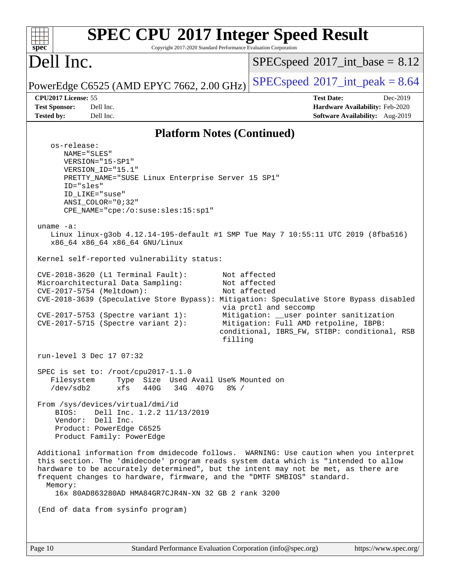| <b>SPEC CPU®2017 Integer Speed Result</b><br>Copyright 2017-2020 Standard Performance Evaluation Corporation<br>spec <sup>®</sup>                                                                                                                                                                                                                                                                                                                                                                                                                                                                                                                                                                                                                                                     |                                                                                                                                                                                                            |
|---------------------------------------------------------------------------------------------------------------------------------------------------------------------------------------------------------------------------------------------------------------------------------------------------------------------------------------------------------------------------------------------------------------------------------------------------------------------------------------------------------------------------------------------------------------------------------------------------------------------------------------------------------------------------------------------------------------------------------------------------------------------------------------|------------------------------------------------------------------------------------------------------------------------------------------------------------------------------------------------------------|
| Dell Inc.                                                                                                                                                                                                                                                                                                                                                                                                                                                                                                                                                                                                                                                                                                                                                                             | $SPEC speed^{\circ}2017\_int\_base = 8.12$                                                                                                                                                                 |
| PowerEdge C6525 (AMD EPYC 7662, 2.00 GHz)                                                                                                                                                                                                                                                                                                                                                                                                                                                                                                                                                                                                                                                                                                                                             | $SPEC speed^{\circ}2017\_int\_peak = 8.64$                                                                                                                                                                 |
| CPU2017 License: 55<br><b>Test Sponsor:</b><br>Dell Inc.                                                                                                                                                                                                                                                                                                                                                                                                                                                                                                                                                                                                                                                                                                                              | <b>Test Date:</b><br>Dec-2019<br>Hardware Availability: Feb-2020                                                                                                                                           |
| Dell Inc.<br><b>Tested by:</b>                                                                                                                                                                                                                                                                                                                                                                                                                                                                                                                                                                                                                                                                                                                                                        | <b>Software Availability:</b> Aug-2019                                                                                                                                                                     |
| <b>Platform Notes (Continued)</b><br>os-release:<br>NAME="SLES"<br>VERSION="15-SP1"<br>VERSION_ID="15.1"<br>PRETTY_NAME="SUSE Linux Enterprise Server 15 SP1"<br>ID="sles"<br>ID LIKE="suse"<br>$ANSI$ _COLOR=" $0:32$ "<br>CPE_NAME="cpe:/o:suse:sles:15:sp1"<br>uname $-a$ :<br>Linux linux-g3ob 4.12.14-195-default #1 SMP Tue May 7 10:55:11 UTC 2019 (8fba516)<br>x86_64 x86_64 x86_64 GNU/Linux<br>Kernel self-reported vulnerability status:<br>CVE-2018-3620 (L1 Terminal Fault):<br>Microarchitectural Data Sampling:<br>CVE-2017-5754 (Meltdown):<br>CVE-2018-3639 (Speculative Store Bypass): Mitigation: Speculative Store Bypass disabled<br>CVE-2017-5753 (Spectre variant 1):<br>$CVE-2017-5715$ (Spectre variant 2):<br>filling                                       | Not affected<br>Not affected<br>Not affected<br>via prctl and seccomp<br>Mitigation: __user pointer sanitization<br>Mitigation: Full AMD retpoline, IBPB:<br>conditional, IBRS_FW, STIBP: conditional, RSB |
| run-level 3 Dec 17 07:32<br>SPEC is set to: /root/cpu2017-1.1.0<br>Filesystem<br>Type Size Used Avail Use% Mounted on<br>440G<br>34G 407G 8% /<br>/dev/sdb2<br>xfs<br>From /sys/devices/virtual/dmi/id<br>Dell Inc. 1.2.2 11/13/2019<br>BTOS:<br>Vendor: Dell Inc.<br>Product: PowerEdge C6525<br>Product Family: PowerEdge<br>Additional information from dmidecode follows. WARNING: Use caution when you interpret<br>this section. The 'dmidecode' program reads system data which is "intended to allow<br>hardware to be accurately determined", but the intent may not be met, as there are<br>frequent changes to hardware, firmware, and the "DMTF SMBIOS" standard.<br>Memory:<br>16x 80AD863280AD HMA84GR7CJR4N-XN 32 GB 2 rank 3200<br>(End of data from sysinfo program) |                                                                                                                                                                                                            |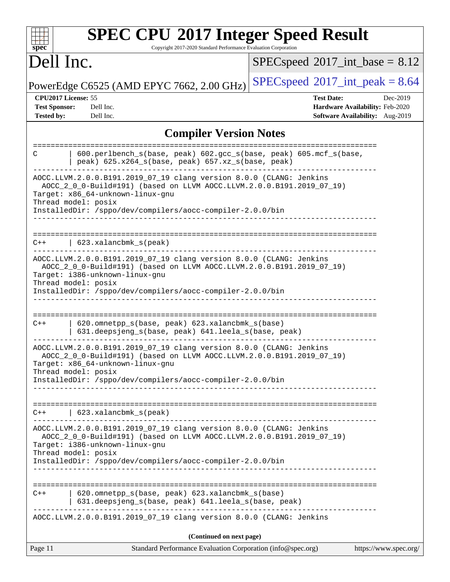| spec                                                                                                                                                                                                                                                                 | <b>SPEC CPU®2017 Integer Speed Result</b><br>Copyright 2017-2020 Standard Performance Evaluation Corporation     |
|----------------------------------------------------------------------------------------------------------------------------------------------------------------------------------------------------------------------------------------------------------------------|------------------------------------------------------------------------------------------------------------------|
| Dell Inc.                                                                                                                                                                                                                                                            | $SPEC speed^{\circ}2017\_int\_base = 8.12$                                                                       |
| PowerEdge C6525 (AMD EPYC 7662, 2.00 GHz)                                                                                                                                                                                                                            | $SPEC speed^{\circ}2017\_int\_peak = 8.64$                                                                       |
| CPU2017 License: 55<br><b>Test Sponsor:</b><br>Dell Inc.<br><b>Tested by:</b><br>Dell Inc.                                                                                                                                                                           | <b>Test Date:</b><br>Dec-2019<br>Hardware Availability: Feb-2020<br>Software Availability: Aug-2019              |
|                                                                                                                                                                                                                                                                      | <b>Compiler Version Notes</b>                                                                                    |
| C<br>peak) 625.x264_s(base, peak) 657.xz_s(base, peak)                                                                                                                                                                                                               | 600.perlbench_s(base, peak) 602.gcc_s(base, peak) 605.mcf_s(base,                                                |
| AOCC.LLVM.2.0.0.B191.2019_07_19 clang version 8.0.0 (CLANG: Jenkins<br>AOCC_2_0_0-Build#191) (based on LLVM AOCC.LLVM.2.0.0.B191.2019_07_19)<br>Target: x86 64-unknown-linux-gnu<br>Thread model: posix<br>InstalledDir: /sppo/dev/compilers/aocc-compiler-2.0.0/bin |                                                                                                                  |
| 623.xalancbmk_s(peak)<br>$C++$                                                                                                                                                                                                                                       | ==================================                                                                               |
| AOCC.LLVM.2.0.0.B191.2019_07_19 clang version 8.0.0 (CLANG: Jenkins<br>AOCC_2_0_0-Build#191) (based on LLVM AOCC.LLVM.2.0.0.B191.2019_07_19)<br>Target: i386-unknown-linux-gnu<br>Thread model: posix<br>InstalledDir: /sppo/dev/compilers/aocc-compiler-2.0.0/bin   |                                                                                                                  |
| 620.omnetpp_s(base, peak) 623.xalancbmk_s(base)<br>$C++$<br>631.deepsjeng_s(base, peak) 641.leela_s(base, peak)                                                                                                                                                      |                                                                                                                  |
| AOCC.LLVM.2.0.0.B191.2019_07_19 clang version 8.0.0 (CLANG: Jenkins<br>AOCC_2_0_0-Build#191) (based on LLVM AOCC.LLVM.2.0.0.B191.2019_07_19)<br>Target: x86 64-unknown-linux-qnu<br>Thread model: posix                                                              |                                                                                                                  |
| InstalledDir: /sppo/dev/compilers/aocc-compiler-2.0.0/bin                                                                                                                                                                                                            |                                                                                                                  |
| 623.xalancbmk_s(peak)<br>$C++$                                                                                                                                                                                                                                       |                                                                                                                  |
| AOCC.LLVM.2.0.0.B191.2019_07_19 clang version 8.0.0 (CLANG: Jenkins<br>AOCC_2_0_0-Build#191) (based on LLVM AOCC.LLVM.2.0.0.B191.2019_07_19)<br>Target: i386-unknown-linux-gnu<br>Thread model: posix<br>InstalledDir: /sppo/dev/compilers/aocc-compiler-2.0.0/bin   |                                                                                                                  |
| 620.omnetpp_s(base, peak) 623.xalancbmk_s(base)<br>$C++$<br>631.deepsjeng_s(base, peak) 641.leela_s(base, peak)                                                                                                                                                      |                                                                                                                  |
| AOCC.LLVM.2.0.0.B191.2019_07_19 clang version 8.0.0 (CLANG: Jenkins                                                                                                                                                                                                  |                                                                                                                  |
| Page 11                                                                                                                                                                                                                                                              | (Continued on next page)<br>Standard Performance Evaluation Corporation (info@spec.org)<br>https://www.spec.org/ |
|                                                                                                                                                                                                                                                                      |                                                                                                                  |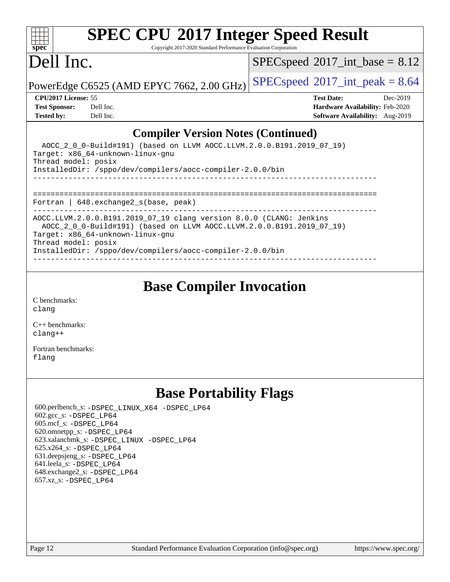Copyright 2017-2020 Standard Performance Evaluation Corporation

## Dell Inc.

**[spec](http://www.spec.org/)**

dd h

 $SPECspeed*2017\_int\_base = 8.12$  $SPECspeed*2017\_int\_base = 8.12$ 

PowerEdge C6525 (AMD EPYC 7662, 2.00 GHz)  $\left|$  [SPECspeed](http://www.spec.org/auto/cpu2017/Docs/result-fields.html#SPECspeed2017intpeak)®[2017\\_int\\_peak = 8](http://www.spec.org/auto/cpu2017/Docs/result-fields.html#SPECspeed2017intpeak).64

**[Tested by:](http://www.spec.org/auto/cpu2017/Docs/result-fields.html#Testedby)** Dell Inc. **[Software Availability:](http://www.spec.org/auto/cpu2017/Docs/result-fields.html#SoftwareAvailability)** Aug-2019

**[CPU2017 License:](http://www.spec.org/auto/cpu2017/Docs/result-fields.html#CPU2017License)** 55 **[Test Date:](http://www.spec.org/auto/cpu2017/Docs/result-fields.html#TestDate)** Dec-2019 **[Test Sponsor:](http://www.spec.org/auto/cpu2017/Docs/result-fields.html#TestSponsor)** Dell Inc. **[Hardware Availability:](http://www.spec.org/auto/cpu2017/Docs/result-fields.html#HardwareAvailability)** Feb-2020

#### **[Compiler Version Notes \(Continued\)](http://www.spec.org/auto/cpu2017/Docs/result-fields.html#CompilerVersionNotes)**

| Fortran   $648$ . exchange2 $s$ (base, peak)<br>AOCC.LLVM.2.0.0.B191.2019_07_19 clang version 8.0.0 (CLANG: Jenkins<br>AOCC 2 0 0-Build#191) (based on LLVM AOCC.LLVM.2.0.0.B191.2019 07 19)<br>Target: x86_64-unknown-linux-qnu<br>Thread model: posix<br>InstalledDir: /sppo/dev/compilers/aocc-compiler-2.0.0/bin | AOCC 2 0 0-Build#191) (based on LLVM AOCC.LLVM.2.0.0.B191.2019 07 19)<br>Target: x86 64-unknown-linux-gnu<br>Thread model: posix<br>InstalledDir: /sppo/dev/compilers/aocc-compiler-2.0.0/bin |
|----------------------------------------------------------------------------------------------------------------------------------------------------------------------------------------------------------------------------------------------------------------------------------------------------------------------|-----------------------------------------------------------------------------------------------------------------------------------------------------------------------------------------------|
|                                                                                                                                                                                                                                                                                                                      |                                                                                                                                                                                               |
|                                                                                                                                                                                                                                                                                                                      |                                                                                                                                                                                               |
|                                                                                                                                                                                                                                                                                                                      |                                                                                                                                                                                               |

#### **[Base Compiler Invocation](http://www.spec.org/auto/cpu2017/Docs/result-fields.html#BaseCompilerInvocation)**

[C benchmarks](http://www.spec.org/auto/cpu2017/Docs/result-fields.html#Cbenchmarks): [clang](http://www.spec.org/cpu2017/results/res2020q1/cpu2017-20191219-20421.flags.html#user_CCbase_clang-c)

[C++ benchmarks:](http://www.spec.org/auto/cpu2017/Docs/result-fields.html#CXXbenchmarks) [clang++](http://www.spec.org/cpu2017/results/res2020q1/cpu2017-20191219-20421.flags.html#user_CXXbase_clang-cpp)

[Fortran benchmarks](http://www.spec.org/auto/cpu2017/Docs/result-fields.html#Fortranbenchmarks): [flang](http://www.spec.org/cpu2017/results/res2020q1/cpu2017-20191219-20421.flags.html#user_FCbase_flang)

### **[Base Portability Flags](http://www.spec.org/auto/cpu2017/Docs/result-fields.html#BasePortabilityFlags)**

 600.perlbench\_s: [-DSPEC\\_LINUX\\_X64](http://www.spec.org/cpu2017/results/res2020q1/cpu2017-20191219-20421.flags.html#b600.perlbench_s_basePORTABILITY_DSPEC_LINUX_X64) [-DSPEC\\_LP64](http://www.spec.org/cpu2017/results/res2020q1/cpu2017-20191219-20421.flags.html#b600.perlbench_s_baseEXTRA_PORTABILITY_DSPEC_LP64) 602.gcc\_s: [-DSPEC\\_LP64](http://www.spec.org/cpu2017/results/res2020q1/cpu2017-20191219-20421.flags.html#suite_baseEXTRA_PORTABILITY602_gcc_s_DSPEC_LP64) 605.mcf\_s: [-DSPEC\\_LP64](http://www.spec.org/cpu2017/results/res2020q1/cpu2017-20191219-20421.flags.html#suite_baseEXTRA_PORTABILITY605_mcf_s_DSPEC_LP64) 620.omnetpp\_s: [-DSPEC\\_LP64](http://www.spec.org/cpu2017/results/res2020q1/cpu2017-20191219-20421.flags.html#suite_baseEXTRA_PORTABILITY620_omnetpp_s_DSPEC_LP64) 623.xalancbmk\_s: [-DSPEC\\_LINUX](http://www.spec.org/cpu2017/results/res2020q1/cpu2017-20191219-20421.flags.html#b623.xalancbmk_s_basePORTABILITY_DSPEC_LINUX) [-DSPEC\\_LP64](http://www.spec.org/cpu2017/results/res2020q1/cpu2017-20191219-20421.flags.html#suite_baseEXTRA_PORTABILITY623_xalancbmk_s_DSPEC_LP64) 625.x264\_s: [-DSPEC\\_LP64](http://www.spec.org/cpu2017/results/res2020q1/cpu2017-20191219-20421.flags.html#suite_baseEXTRA_PORTABILITY625_x264_s_DSPEC_LP64) 631.deepsjeng\_s: [-DSPEC\\_LP64](http://www.spec.org/cpu2017/results/res2020q1/cpu2017-20191219-20421.flags.html#suite_baseEXTRA_PORTABILITY631_deepsjeng_s_DSPEC_LP64) 641.leela\_s: [-DSPEC\\_LP64](http://www.spec.org/cpu2017/results/res2020q1/cpu2017-20191219-20421.flags.html#suite_baseEXTRA_PORTABILITY641_leela_s_DSPEC_LP64) 648.exchange2\_s: [-DSPEC\\_LP64](http://www.spec.org/cpu2017/results/res2020q1/cpu2017-20191219-20421.flags.html#suite_baseEXTRA_PORTABILITY648_exchange2_s_DSPEC_LP64) 657.xz\_s: [-DSPEC\\_LP64](http://www.spec.org/cpu2017/results/res2020q1/cpu2017-20191219-20421.flags.html#suite_baseEXTRA_PORTABILITY657_xz_s_DSPEC_LP64)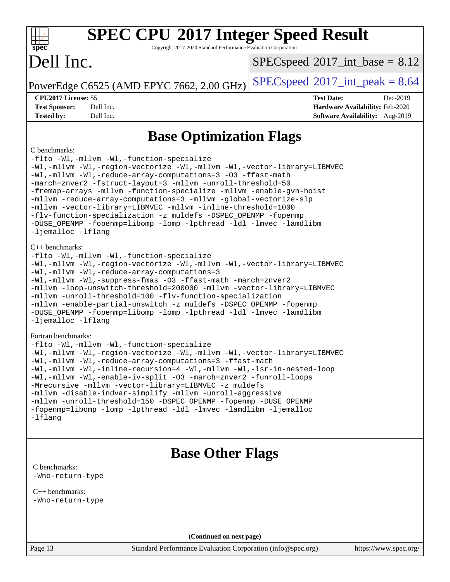| $sp\overline{ec}$                                                             | <b>SPEC CPU®2017 Integer Speed Result</b><br>Copyright 2017-2020 Standard Performance Evaluation Corporation                                                                                                                                                                                                                                                                                                                                                                                                                                                                                          |                                            |                                                                                |
|-------------------------------------------------------------------------------|-------------------------------------------------------------------------------------------------------------------------------------------------------------------------------------------------------------------------------------------------------------------------------------------------------------------------------------------------------------------------------------------------------------------------------------------------------------------------------------------------------------------------------------------------------------------------------------------------------|--------------------------------------------|--------------------------------------------------------------------------------|
| Dell Inc.                                                                     |                                                                                                                                                                                                                                                                                                                                                                                                                                                                                                                                                                                                       | $SPEC speed^{\circ}2017\_int\_base = 8.12$ |                                                                                |
|                                                                               | PowerEdge C6525 (AMD EPYC 7662, 2.00 GHz)                                                                                                                                                                                                                                                                                                                                                                                                                                                                                                                                                             | $SPEC speed^{\circ}2017\_int\_peak = 8.64$ |                                                                                |
| CPU2017 License: 55<br><b>Test Sponsor:</b><br><b>Tested by:</b>              | Dell Inc.<br>Dell Inc.                                                                                                                                                                                                                                                                                                                                                                                                                                                                                                                                                                                | <b>Test Date:</b>                          | Dec-2019<br>Hardware Availability: Feb-2020<br>Software Availability: Aug-2019 |
|                                                                               | <b>Base Optimization Flags</b>                                                                                                                                                                                                                                                                                                                                                                                                                                                                                                                                                                        |                                            |                                                                                |
| C benchmarks:<br>-ljemalloc -lflang                                           | -flto -Wl,-mllvm -Wl,-function-specialize<br>-Wl,-mllvm -Wl,-region-vectorize -Wl,-mllvm -Wl,-vector-library=LIBMVEC<br>-Wl,-mllvm -Wl,-reduce-array-computations=3 -03 -ffast-math<br>-march=znver2 -fstruct-layout=3 -mllvm -unroll-threshold=50<br>-fremap-arrays -mllvm -function-specialize -mllvm -enable-gvn-hoist<br>-mllvm -reduce-array-computations=3 -mllvm -global-vectorize-slp<br>-mllvm -vector-library=LIBMVEC -mllvm -inline-threshold=1000<br>-flv-function-specialization -z muldefs -DSPEC_OPENMP -fopenmp<br>-DUSE_OPENMP -fopenmp=libomp -lomp -lpthread -ldl -lmvec -lamdlibm |                                            |                                                                                |
| $C++$ benchmarks:<br>-ljemalloc -lflang                                       | -flto -Wl,-mllvm -Wl,-function-specialize<br>-Wl,-mllvm -Wl,-region-vectorize -Wl,-mllvm -Wl,-vector-library=LIBMVEC<br>-Wl,-mllvm -Wl,-reduce-array-computations=3<br>-Wl,-mllvm -Wl,-suppress-fmas -03 -ffast-math -march=znver2<br>-mllvm -loop-unswitch-threshold=200000 -mllvm -vector-library=LIBMVEC<br>-mllvm -unroll-threshold=100 -flv-function-specialization<br>-mllvm -enable-partial-unswitch -z muldefs -DSPEC_OPENMP -fopenmp<br>-DUSE_OPENMP -fopenmp=libomp -lomp -lpthread -ldl -lmvec -lamdlibm                                                                                   |                                            |                                                                                |
| Fortran benchmarks:<br>$-Iflang$                                              | -flto -Wl,-mllvm -Wl,-function-specialize<br>-Wl,-mllvm -Wl,-region-vectorize -Wl,-mllvm -Wl,-vector-library=LIBMVEC<br>-Wl,-mllvm -Wl,-reduce-array-computations=3 -ffast-math<br>-Wl,-mllvm -Wl,-inline-recursion=4 -Wl,-mllvm -Wl,-lsr-in-nested-loop<br>-Wl,-mllvm -Wl,-enable-iv-split -03 -march=znver2 -funroll-loops<br>-Mrecursive -mllvm -vector-library=LIBMVEC -z muldefs<br>-mllvm -disable-indvar-simplify -mllvm -unroll-aggressive<br>-mllvm -unroll-threshold=150 -DSPEC_OPENMP -fopenmp -DUSE_OPENMP<br>-fopenmp=libomp -lomp -lpthread -ldl -lmvec -lamdlibm -ljemalloc            |                                            |                                                                                |
| C benchmarks:<br>-Wno-return-type<br>$C_{++}$ benchmarks:<br>-Wno-return-type | <b>Base Other Flags</b>                                                                                                                                                                                                                                                                                                                                                                                                                                                                                                                                                                               |                                            |                                                                                |
|                                                                               | (Continued on next page)                                                                                                                                                                                                                                                                                                                                                                                                                                                                                                                                                                              |                                            |                                                                                |
| Page 13                                                                       | Standard Performance Evaluation Corporation (info@spec.org)                                                                                                                                                                                                                                                                                                                                                                                                                                                                                                                                           |                                            | https://www.spec.org/                                                          |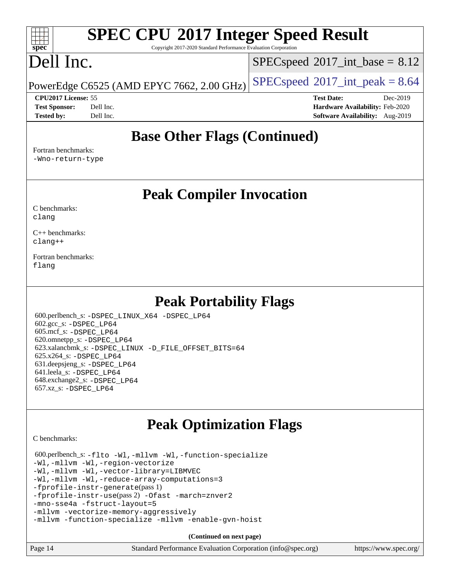Copyright 2017-2020 Standard Performance Evaluation Corporation

## Dell Inc.

**[spec](http://www.spec.org/)**

 $\pm$   $\mu$ 

 $SPECspeed^{\circledcirc}2017\_int\_base = 8.12$  $SPECspeed^{\circledcirc}2017\_int\_base = 8.12$ 

PowerEdge C6525 (AMD EPYC 7662, 2.00 GHz)  $\left|$  [SPECspeed](http://www.spec.org/auto/cpu2017/Docs/result-fields.html#SPECspeed2017intpeak)®[2017\\_int\\_peak = 8](http://www.spec.org/auto/cpu2017/Docs/result-fields.html#SPECspeed2017intpeak).64

#### **[CPU2017 License:](http://www.spec.org/auto/cpu2017/Docs/result-fields.html#CPU2017License)** 55 **[Test Date:](http://www.spec.org/auto/cpu2017/Docs/result-fields.html#TestDate)** Dec-2019

**[Test Sponsor:](http://www.spec.org/auto/cpu2017/Docs/result-fields.html#TestSponsor)** Dell Inc. **[Hardware Availability:](http://www.spec.org/auto/cpu2017/Docs/result-fields.html#HardwareAvailability)** Feb-2020 **[Tested by:](http://www.spec.org/auto/cpu2017/Docs/result-fields.html#Testedby)** Dell Inc. **[Software Availability:](http://www.spec.org/auto/cpu2017/Docs/result-fields.html#SoftwareAvailability)** Aug-2019

#### **[Base Other Flags \(Continued\)](http://www.spec.org/auto/cpu2017/Docs/result-fields.html#BaseOtherFlags)**

#### [Fortran benchmarks](http://www.spec.org/auto/cpu2017/Docs/result-fields.html#Fortranbenchmarks):

[-Wno-return-type](http://www.spec.org/cpu2017/results/res2020q1/cpu2017-20191219-20421.flags.html#user_FCbase_F-Waocc-no-return-type)

#### **[Peak Compiler Invocation](http://www.spec.org/auto/cpu2017/Docs/result-fields.html#PeakCompilerInvocation)**

[C benchmarks](http://www.spec.org/auto/cpu2017/Docs/result-fields.html#Cbenchmarks): [clang](http://www.spec.org/cpu2017/results/res2020q1/cpu2017-20191219-20421.flags.html#user_CCpeak_clang-c)

[C++ benchmarks:](http://www.spec.org/auto/cpu2017/Docs/result-fields.html#CXXbenchmarks) [clang++](http://www.spec.org/cpu2017/results/res2020q1/cpu2017-20191219-20421.flags.html#user_CXXpeak_clang-cpp)

[Fortran benchmarks](http://www.spec.org/auto/cpu2017/Docs/result-fields.html#Fortranbenchmarks): [flang](http://www.spec.org/cpu2017/results/res2020q1/cpu2017-20191219-20421.flags.html#user_FCpeak_flang)

#### **[Peak Portability Flags](http://www.spec.org/auto/cpu2017/Docs/result-fields.html#PeakPortabilityFlags)**

 600.perlbench\_s: [-DSPEC\\_LINUX\\_X64](http://www.spec.org/cpu2017/results/res2020q1/cpu2017-20191219-20421.flags.html#b600.perlbench_s_peakPORTABILITY_DSPEC_LINUX_X64) [-DSPEC\\_LP64](http://www.spec.org/cpu2017/results/res2020q1/cpu2017-20191219-20421.flags.html#b600.perlbench_s_peakEXTRA_PORTABILITY_DSPEC_LP64) 602.gcc\_s: [-DSPEC\\_LP64](http://www.spec.org/cpu2017/results/res2020q1/cpu2017-20191219-20421.flags.html#suite_peakEXTRA_PORTABILITY602_gcc_s_DSPEC_LP64) 605.mcf\_s: [-DSPEC\\_LP64](http://www.spec.org/cpu2017/results/res2020q1/cpu2017-20191219-20421.flags.html#suite_peakEXTRA_PORTABILITY605_mcf_s_DSPEC_LP64) 620.omnetpp\_s: [-DSPEC\\_LP64](http://www.spec.org/cpu2017/results/res2020q1/cpu2017-20191219-20421.flags.html#suite_peakEXTRA_PORTABILITY620_omnetpp_s_DSPEC_LP64) 623.xalancbmk\_s: [-DSPEC\\_LINUX](http://www.spec.org/cpu2017/results/res2020q1/cpu2017-20191219-20421.flags.html#b623.xalancbmk_s_peakPORTABILITY_DSPEC_LINUX) [-D\\_FILE\\_OFFSET\\_BITS=64](http://www.spec.org/cpu2017/results/res2020q1/cpu2017-20191219-20421.flags.html#user_peakEXTRA_PORTABILITY623_xalancbmk_s_F-D_FILE_OFFSET_BITS_5ae949a99b284ddf4e95728d47cb0843d81b2eb0e18bdfe74bbf0f61d0b064f4bda2f10ea5eb90e1dcab0e84dbc592acfc5018bc955c18609f94ddb8d550002c) 625.x264\_s: [-DSPEC\\_LP64](http://www.spec.org/cpu2017/results/res2020q1/cpu2017-20191219-20421.flags.html#suite_peakEXTRA_PORTABILITY625_x264_s_DSPEC_LP64) 631.deepsjeng\_s: [-DSPEC\\_LP64](http://www.spec.org/cpu2017/results/res2020q1/cpu2017-20191219-20421.flags.html#suite_peakEXTRA_PORTABILITY631_deepsjeng_s_DSPEC_LP64) 641.leela\_s: [-DSPEC\\_LP64](http://www.spec.org/cpu2017/results/res2020q1/cpu2017-20191219-20421.flags.html#suite_peakEXTRA_PORTABILITY641_leela_s_DSPEC_LP64) 648.exchange2\_s: [-DSPEC\\_LP64](http://www.spec.org/cpu2017/results/res2020q1/cpu2017-20191219-20421.flags.html#suite_peakEXTRA_PORTABILITY648_exchange2_s_DSPEC_LP64) 657.xz\_s: [-DSPEC\\_LP64](http://www.spec.org/cpu2017/results/res2020q1/cpu2017-20191219-20421.flags.html#suite_peakEXTRA_PORTABILITY657_xz_s_DSPEC_LP64)

### **[Peak Optimization Flags](http://www.spec.org/auto/cpu2017/Docs/result-fields.html#PeakOptimizationFlags)**

[C benchmarks](http://www.spec.org/auto/cpu2017/Docs/result-fields.html#Cbenchmarks):

 600.perlbench\_s: [-flto](http://www.spec.org/cpu2017/results/res2020q1/cpu2017-20191219-20421.flags.html#user_peakCOPTIMIZELDFLAGS600_perlbench_s_aocc-flto) [-Wl,-mllvm -Wl,-function-specialize](http://www.spec.org/cpu2017/results/res2020q1/cpu2017-20191219-20421.flags.html#user_peakLDFLAGS600_perlbench_s_F-function-specialize_7e7e661e57922243ee67c9a1251cb8910e607325179a0ce7f2884e09a6f5d4a5ef0ae4f37e8a2a11c95fc48e931f06dc2b6016f14b511fcb441e048bef1b065a) [-Wl,-mllvm -Wl,-region-vectorize](http://www.spec.org/cpu2017/results/res2020q1/cpu2017-20191219-20421.flags.html#user_peakLDFLAGS600_perlbench_s_F-region-vectorize_fb6c6b5aa293c88efc6c7c2b52b20755e943585b1fe8658c35afef78727fff56e1a56891413c30e36b8e2a6f9a71126986319243e80eb6110b78b288f533c52b) [-Wl,-mllvm -Wl,-vector-library=LIBMVEC](http://www.spec.org/cpu2017/results/res2020q1/cpu2017-20191219-20421.flags.html#user_peakLDFLAGS600_perlbench_s_F-use-vector-library_0a14b27fae317f283640384a31f7bfcc2bd4c1d0b5cfc618a3a430800c9b20217b00f61303eff223a3251b4f06ffbc9739dc5296db9d1fbb9ad24a3939d86d66) [-Wl,-mllvm -Wl,-reduce-array-computations=3](http://www.spec.org/cpu2017/results/res2020q1/cpu2017-20191219-20421.flags.html#user_peakLDFLAGS600_perlbench_s_F-reduce-array-computations_b882aefe7a5dda4e33149f6299762b9a720dace3e498e13756f4c04e5a19edf5315c1f3993de2e61ec41e8c206231f84e05da7040e1bb5d69ba27d10a12507e4) [-fprofile-instr-generate](http://www.spec.org/cpu2017/results/res2020q1/cpu2017-20191219-20421.flags.html#user_peakPASS1_CFLAGSPASS1_LDFLAGS600_perlbench_s_F-fprofile-instr-generate)(pass 1) [-fprofile-instr-use](http://www.spec.org/cpu2017/results/res2020q1/cpu2017-20191219-20421.flags.html#user_peakPASS2_CFLAGSPASS2_LDFLAGS600_perlbench_s_F-fprofile-instr-use)(pass 2) [-Ofast](http://www.spec.org/cpu2017/results/res2020q1/cpu2017-20191219-20421.flags.html#user_peakCOPTIMIZE600_perlbench_s_aocc-Ofast) [-march=znver2](http://www.spec.org/cpu2017/results/res2020q1/cpu2017-20191219-20421.flags.html#user_peakCOPTIMIZE600_perlbench_s_aocc-march_3e2e19cff2eeef60c5d90b059483627c9ea47eca6d66670dbd53f9185f6439e27eb5e104cf773e9e8ab18c8842ce63e461a3e948d0214bd567ef3ade411bf467) [-mno-sse4a](http://www.spec.org/cpu2017/results/res2020q1/cpu2017-20191219-20421.flags.html#user_peakCOPTIMIZE600_perlbench_s_F-mno-sse4a) [-fstruct-layout=5](http://www.spec.org/cpu2017/results/res2020q1/cpu2017-20191219-20421.flags.html#user_peakCOPTIMIZE600_perlbench_s_F-struct-layout_0de9d3561e9f54a54e0843cce081bd13a08ab3e9a82696f3346606c2e11360c37113781019b02fa128d9f650e68f1ffd209bab5c3a026c1ad23e4e7f60646b23) [-mllvm -vectorize-memory-aggressively](http://www.spec.org/cpu2017/results/res2020q1/cpu2017-20191219-20421.flags.html#user_peakCOPTIMIZE600_perlbench_s_F-vectorize-memory-aggressively_24b72a4417f50ade9e698c5b3bed87ab456cc6fc8ec6439480cb84f36ad6a3975af6e87206dea402e3871a1464ff3d60bc798e0250f330177ba629a260df1857) [-mllvm -function-specialize](http://www.spec.org/cpu2017/results/res2020q1/cpu2017-20191219-20421.flags.html#user_peakCOPTIMIZE600_perlbench_s_F-function-specialize_233b3bdba86027f1b094368157e481c5bc59f40286dc25bfadc1858dcd5745c24fd30d5f188710db7fea399bcc9f44a80b3ce3aacc70a8870250c3ae5e1f35b8) [-mllvm -enable-gvn-hoist](http://www.spec.org/cpu2017/results/res2020q1/cpu2017-20191219-20421.flags.html#user_peakCOPTIMIZE600_perlbench_s_F-enable-gvn-hoist_e5856354646dd6ca1333a0ad99b817e4cf8932b91b82809fd8fd47ceff7b22a89eba5c98fd3e3fa5200368fd772cec3dd56abc3c8f7b655a71b9f9848dddedd5)

**(Continued on next page)**

| Page 14 |  |
|---------|--|
|         |  |

Page 14 Standard Performance Evaluation Corporation [\(info@spec.org\)](mailto:info@spec.org) <https://www.spec.org/>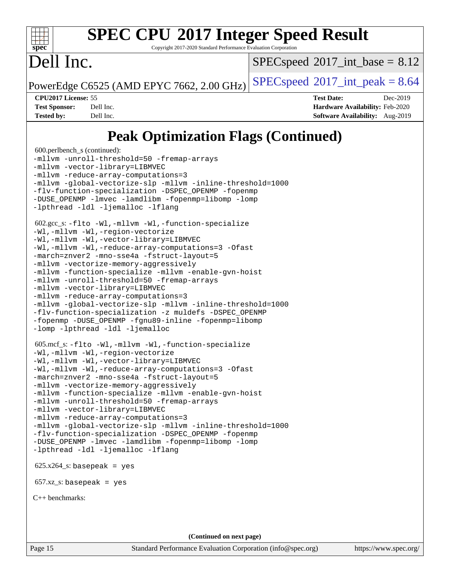

Copyright 2017-2020 Standard Performance Evaluation Corporation

## Dell Inc.

 $SPECspeed^{\circledcirc}2017\_int\_base = 8.12$  $SPECspeed^{\circledcirc}2017\_int\_base = 8.12$ 

PowerEdge C6525 (AMD EPYC 7662, 2.00 GHz)  $\left|$  [SPECspeed](http://www.spec.org/auto/cpu2017/Docs/result-fields.html#SPECspeed2017intpeak)®[2017\\_int\\_peak = 8](http://www.spec.org/auto/cpu2017/Docs/result-fields.html#SPECspeed2017intpeak).64

**[CPU2017 License:](http://www.spec.org/auto/cpu2017/Docs/result-fields.html#CPU2017License)** 55 **[Test Date:](http://www.spec.org/auto/cpu2017/Docs/result-fields.html#TestDate)** Dec-2019 **[Test Sponsor:](http://www.spec.org/auto/cpu2017/Docs/result-fields.html#TestSponsor)** Dell Inc. **[Hardware Availability:](http://www.spec.org/auto/cpu2017/Docs/result-fields.html#HardwareAvailability)** Feb-2020 **[Tested by:](http://www.spec.org/auto/cpu2017/Docs/result-fields.html#Testedby)** Dell Inc. **[Software Availability:](http://www.spec.org/auto/cpu2017/Docs/result-fields.html#SoftwareAvailability)** Aug-2019

### **[Peak Optimization Flags \(Continued\)](http://www.spec.org/auto/cpu2017/Docs/result-fields.html#PeakOptimizationFlags)**

```
 600.perlbench_s (continued):
-mllvm -unroll-threshold=50 -fremap-arrays
-mllvm -vector-library=LIBMVEC
-mllvm -reduce-array-computations=3
-mllvm -global-vectorize-slp -mllvm -inline-threshold=1000
-flv-function-specialization -DSPEC_OPENMP -fopenmp
-DUSE_OPENMP -lmvec -lamdlibm -fopenmp=libomp -lomp
-lpthread -ldl -ljemalloc -lflang
 602.gcc_s: -flto -Wl,-mllvm -Wl,-function-specialize
-Wl,-mllvm -Wl,-region-vectorize
-Wl,-mllvm -Wl,-vector-library=LIBMVEC
-Wl,-mllvm -Wl,-reduce-array-computations=3 -Ofast
-march=znver2 -mno-sse4a -fstruct-layout=5
-mllvm -vectorize-memory-aggressively
-mllvm -function-specialize -mllvm -enable-gvn-hoist
-mllvm -unroll-threshold=50 -fremap-arrays
-mllvm -vector-library=LIBMVEC
-mllvm -reduce-array-computations=3
-mllvm -global-vectorize-slp -mllvm -inline-threshold=1000
-flv-function-specialization -z muldefs -DSPEC_OPENMP
-fopenmp -DUSE_OPENMP -fgnu89-inline -fopenmp=libomp
-lomp -lpthread -ldl -ljemalloc
 605.mcf_s: -flto -Wl,-mllvm -Wl,-function-specialize
-Wl,-mllvm -Wl,-region-vectorize
-Wl,-mllvm -Wl,-vector-library=LIBMVEC
-Wl,-mllvm -Wl,-reduce-array-computations=3 -Ofast
-march=znver2 -mno-sse4a -fstruct-layout=5
-mllvm -vectorize-memory-aggressively
-mllvm -function-specialize -mllvm -enable-gvn-hoist
-mllvm -unroll-threshold=50 -fremap-arrays
-mllvm -vector-library=LIBMVEC
-mllvm -reduce-array-computations=3
-mllvm -global-vectorize-slp -mllvm -inline-threshold=1000
-flv-function-specialization -DSPEC_OPENMP -fopenmp
-DUSE_OPENMP -lmvec -lamdlibm -fopenmp=libomp -lomp
-lpthread -ldl -ljemalloc -lflang
625.x264_s: basepeak = yes
657.xz s: basepeak = yes
C++ benchmarks: 
                                    (Continued on next page)
```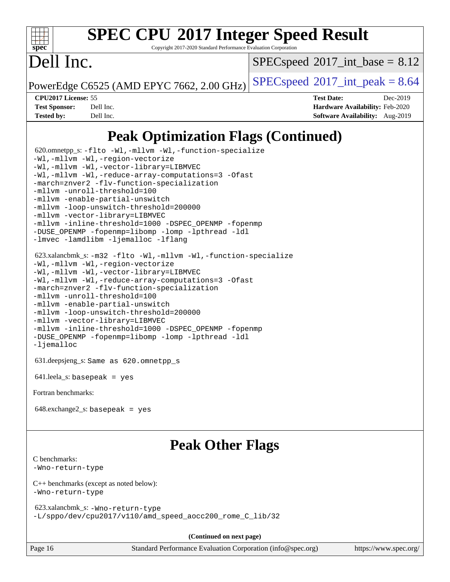

Copyright 2017-2020 Standard Performance Evaluation Corporation

## Dell Inc.

 $SPECspeed^{\circledcirc}2017\_int\_base = 8.12$  $SPECspeed^{\circledcirc}2017\_int\_base = 8.12$ 

PowerEdge C6525 (AMD EPYC 7662, 2.00 GHz)  $\left|$  [SPECspeed](http://www.spec.org/auto/cpu2017/Docs/result-fields.html#SPECspeed2017intpeak)®[2017\\_int\\_peak = 8](http://www.spec.org/auto/cpu2017/Docs/result-fields.html#SPECspeed2017intpeak).64

**[CPU2017 License:](http://www.spec.org/auto/cpu2017/Docs/result-fields.html#CPU2017License)** 55 **[Test Date:](http://www.spec.org/auto/cpu2017/Docs/result-fields.html#TestDate)** Dec-2019 **[Test Sponsor:](http://www.spec.org/auto/cpu2017/Docs/result-fields.html#TestSponsor)** Dell Inc. **[Hardware Availability:](http://www.spec.org/auto/cpu2017/Docs/result-fields.html#HardwareAvailability)** Feb-2020 **[Tested by:](http://www.spec.org/auto/cpu2017/Docs/result-fields.html#Testedby)** Dell Inc. **[Software Availability:](http://www.spec.org/auto/cpu2017/Docs/result-fields.html#SoftwareAvailability)** Aug-2019

### **[Peak Optimization Flags \(Continued\)](http://www.spec.org/auto/cpu2017/Docs/result-fields.html#PeakOptimizationFlags)**

 620.omnetpp\_s: [-flto](http://www.spec.org/cpu2017/results/res2020q1/cpu2017-20191219-20421.flags.html#user_peakCXXOPTIMIZELDFLAGS620_omnetpp_s_aocc-flto) [-Wl,-mllvm -Wl,-function-specialize](http://www.spec.org/cpu2017/results/res2020q1/cpu2017-20191219-20421.flags.html#user_peakLDFLAGS620_omnetpp_s_F-function-specialize_7e7e661e57922243ee67c9a1251cb8910e607325179a0ce7f2884e09a6f5d4a5ef0ae4f37e8a2a11c95fc48e931f06dc2b6016f14b511fcb441e048bef1b065a) [-Wl,-mllvm -Wl,-region-vectorize](http://www.spec.org/cpu2017/results/res2020q1/cpu2017-20191219-20421.flags.html#user_peakLDFLAGS620_omnetpp_s_F-region-vectorize_fb6c6b5aa293c88efc6c7c2b52b20755e943585b1fe8658c35afef78727fff56e1a56891413c30e36b8e2a6f9a71126986319243e80eb6110b78b288f533c52b) [-Wl,-mllvm -Wl,-vector-library=LIBMVEC](http://www.spec.org/cpu2017/results/res2020q1/cpu2017-20191219-20421.flags.html#user_peakLDFLAGS620_omnetpp_s_F-use-vector-library_0a14b27fae317f283640384a31f7bfcc2bd4c1d0b5cfc618a3a430800c9b20217b00f61303eff223a3251b4f06ffbc9739dc5296db9d1fbb9ad24a3939d86d66) [-Wl,-mllvm -Wl,-reduce-array-computations=3](http://www.spec.org/cpu2017/results/res2020q1/cpu2017-20191219-20421.flags.html#user_peakLDFLAGS620_omnetpp_s_F-reduce-array-computations_b882aefe7a5dda4e33149f6299762b9a720dace3e498e13756f4c04e5a19edf5315c1f3993de2e61ec41e8c206231f84e05da7040e1bb5d69ba27d10a12507e4) [-Ofast](http://www.spec.org/cpu2017/results/res2020q1/cpu2017-20191219-20421.flags.html#user_peakCXXOPTIMIZE620_omnetpp_s_aocc-Ofast) [-march=znver2](http://www.spec.org/cpu2017/results/res2020q1/cpu2017-20191219-20421.flags.html#user_peakCXXOPTIMIZE620_omnetpp_s_aocc-march_3e2e19cff2eeef60c5d90b059483627c9ea47eca6d66670dbd53f9185f6439e27eb5e104cf773e9e8ab18c8842ce63e461a3e948d0214bd567ef3ade411bf467) [-flv-function-specialization](http://www.spec.org/cpu2017/results/res2020q1/cpu2017-20191219-20421.flags.html#user_peakCXXOPTIMIZE620_omnetpp_s_F-flv-function-specialization) [-mllvm -unroll-threshold=100](http://www.spec.org/cpu2017/results/res2020q1/cpu2017-20191219-20421.flags.html#user_peakCXXOPTIMIZE620_omnetpp_s_F-unroll-threshold_2755d0c78138845d361fa1543e3a063fffa198df9b3edf0cfb856bbc88a81e1769b12ac7a550c5d35197be55360db1a3f95a8d1304df999456cabf5120c45168) [-mllvm -enable-partial-unswitch](http://www.spec.org/cpu2017/results/res2020q1/cpu2017-20191219-20421.flags.html#user_peakCXXOPTIMIZE620_omnetpp_s_F-enable-partial-unswitch_6e1c33f981d77963b1eaf834973128a7f33ce3f8e27f54689656697a35e89dcc875281e0e6283d043e32f367dcb605ba0e307a92e830f7e326789fa6c61b35d3) [-mllvm -loop-unswitch-threshold=200000](http://www.spec.org/cpu2017/results/res2020q1/cpu2017-20191219-20421.flags.html#user_peakCXXOPTIMIZE620_omnetpp_s_F-loop-unswitch-threshold_f9a82ae3270e55b5fbf79d0d96ee93606b73edbbe527d20b18b7bff1a3a146ad50cfc7454c5297978340ae9213029016a7d16221274d672d3f7f42ed25274e1d) [-mllvm -vector-library=LIBMVEC](http://www.spec.org/cpu2017/results/res2020q1/cpu2017-20191219-20421.flags.html#user_peakCXXOPTIMIZE620_omnetpp_s_F-use-vector-library_e584e20b4f7ec96aa109254b65d8e01d864f3d68580371b9d93ed7c338191d4cfce20c3c864632264effc6bbe4c7c38153d02096a342ee92501c4a53204a7871) [-mllvm -inline-threshold=1000](http://www.spec.org/cpu2017/results/res2020q1/cpu2017-20191219-20421.flags.html#user_peakCXXOPTIMIZE620_omnetpp_s_dragonegg-llvm-inline-threshold_b7832241b0a6397e4ecdbaf0eb7defdc10f885c2a282fa3240fdc99844d543fda39cf8a4a9dccf68cf19b5438ac3b455264f478df15da0f4988afa40d8243bab) [-DSPEC\\_OPENMP](http://www.spec.org/cpu2017/results/res2020q1/cpu2017-20191219-20421.flags.html#suite_peakEXTRA_OPTIMIZE620_omnetpp_s_DSPEC_OPENMP) [-fopenmp](http://www.spec.org/cpu2017/results/res2020q1/cpu2017-20191219-20421.flags.html#user_peakEXTRA_OPTIMIZE620_omnetpp_s_aocc-fopenmp) [-DUSE\\_OPENMP](http://www.spec.org/cpu2017/results/res2020q1/cpu2017-20191219-20421.flags.html#user_peakEXTRA_OPTIMIZE620_omnetpp_s_F-DUSE_OPENMP) [-fopenmp=libomp](http://www.spec.org/cpu2017/results/res2020q1/cpu2017-20191219-20421.flags.html#user_peakEXTRA_LIBS620_omnetpp_s_aocc-fopenmp_3eb6ab80166bcc84161ff8c20c8d5bc344f88119f45620444596454f7d72e99b7a0ceefc2d1b4d190bd07306bbfdfc20f11f5a2dc69c9b03c72239f8406741c3) [-lomp](http://www.spec.org/cpu2017/results/res2020q1/cpu2017-20191219-20421.flags.html#user_peakEXTRA_LIBS620_omnetpp_s_F-lomp) [-lpthread](http://www.spec.org/cpu2017/results/res2020q1/cpu2017-20191219-20421.flags.html#user_peakEXTRA_LIBS620_omnetpp_s_F-lpthread) [-ldl](http://www.spec.org/cpu2017/results/res2020q1/cpu2017-20191219-20421.flags.html#user_peakEXTRA_LIBS620_omnetpp_s_F-ldl) [-lmvec](http://www.spec.org/cpu2017/results/res2020q1/cpu2017-20191219-20421.flags.html#user_peakEXTRA_LIBS620_omnetpp_s_F-lmvec) [-lamdlibm](http://www.spec.org/cpu2017/results/res2020q1/cpu2017-20191219-20421.flags.html#user_peakEXTRA_LIBS620_omnetpp_s_F-lamdlibm) [-ljemalloc](http://www.spec.org/cpu2017/results/res2020q1/cpu2017-20191219-20421.flags.html#user_peakEXTRA_LIBS620_omnetpp_s_jemalloc-lib) [-lflang](http://www.spec.org/cpu2017/results/res2020q1/cpu2017-20191219-20421.flags.html#user_peakEXTRA_LIBS620_omnetpp_s_F-lflang) 623.xalancbmk\_s: [-m32](http://www.spec.org/cpu2017/results/res2020q1/cpu2017-20191219-20421.flags.html#user_peakCXXLD623_xalancbmk_s_F-m32) [-flto](http://www.spec.org/cpu2017/results/res2020q1/cpu2017-20191219-20421.flags.html#user_peakCXXOPTIMIZELDFLAGS623_xalancbmk_s_aocc-flto) [-Wl,-mllvm -Wl,-function-specialize](http://www.spec.org/cpu2017/results/res2020q1/cpu2017-20191219-20421.flags.html#user_peakLDFLAGS623_xalancbmk_s_F-function-specialize_7e7e661e57922243ee67c9a1251cb8910e607325179a0ce7f2884e09a6f5d4a5ef0ae4f37e8a2a11c95fc48e931f06dc2b6016f14b511fcb441e048bef1b065a) [-Wl,-mllvm -Wl,-region-vectorize](http://www.spec.org/cpu2017/results/res2020q1/cpu2017-20191219-20421.flags.html#user_peakLDFLAGS623_xalancbmk_s_F-region-vectorize_fb6c6b5aa293c88efc6c7c2b52b20755e943585b1fe8658c35afef78727fff56e1a56891413c30e36b8e2a6f9a71126986319243e80eb6110b78b288f533c52b) [-Wl,-mllvm -Wl,-vector-library=LIBMVEC](http://www.spec.org/cpu2017/results/res2020q1/cpu2017-20191219-20421.flags.html#user_peakLDFLAGS623_xalancbmk_s_F-use-vector-library_0a14b27fae317f283640384a31f7bfcc2bd4c1d0b5cfc618a3a430800c9b20217b00f61303eff223a3251b4f06ffbc9739dc5296db9d1fbb9ad24a3939d86d66) [-Wl,-mllvm -Wl,-reduce-array-computations=3](http://www.spec.org/cpu2017/results/res2020q1/cpu2017-20191219-20421.flags.html#user_peakLDFLAGS623_xalancbmk_s_F-reduce-array-computations_b882aefe7a5dda4e33149f6299762b9a720dace3e498e13756f4c04e5a19edf5315c1f3993de2e61ec41e8c206231f84e05da7040e1bb5d69ba27d10a12507e4) [-Ofast](http://www.spec.org/cpu2017/results/res2020q1/cpu2017-20191219-20421.flags.html#user_peakCXXOPTIMIZE623_xalancbmk_s_aocc-Ofast) [-march=znver2](http://www.spec.org/cpu2017/results/res2020q1/cpu2017-20191219-20421.flags.html#user_peakCXXOPTIMIZE623_xalancbmk_s_aocc-march_3e2e19cff2eeef60c5d90b059483627c9ea47eca6d66670dbd53f9185f6439e27eb5e104cf773e9e8ab18c8842ce63e461a3e948d0214bd567ef3ade411bf467) [-flv-function-specialization](http://www.spec.org/cpu2017/results/res2020q1/cpu2017-20191219-20421.flags.html#user_peakCXXOPTIMIZE623_xalancbmk_s_F-flv-function-specialization) [-mllvm -unroll-threshold=100](http://www.spec.org/cpu2017/results/res2020q1/cpu2017-20191219-20421.flags.html#user_peakCXXOPTIMIZE623_xalancbmk_s_F-unroll-threshold_2755d0c78138845d361fa1543e3a063fffa198df9b3edf0cfb856bbc88a81e1769b12ac7a550c5d35197be55360db1a3f95a8d1304df999456cabf5120c45168) [-mllvm -enable-partial-unswitch](http://www.spec.org/cpu2017/results/res2020q1/cpu2017-20191219-20421.flags.html#user_peakCXXOPTIMIZE623_xalancbmk_s_F-enable-partial-unswitch_6e1c33f981d77963b1eaf834973128a7f33ce3f8e27f54689656697a35e89dcc875281e0e6283d043e32f367dcb605ba0e307a92e830f7e326789fa6c61b35d3) [-mllvm -loop-unswitch-threshold=200000](http://www.spec.org/cpu2017/results/res2020q1/cpu2017-20191219-20421.flags.html#user_peakCXXOPTIMIZE623_xalancbmk_s_F-loop-unswitch-threshold_f9a82ae3270e55b5fbf79d0d96ee93606b73edbbe527d20b18b7bff1a3a146ad50cfc7454c5297978340ae9213029016a7d16221274d672d3f7f42ed25274e1d) [-mllvm -vector-library=LIBMVEC](http://www.spec.org/cpu2017/results/res2020q1/cpu2017-20191219-20421.flags.html#user_peakCXXOPTIMIZE623_xalancbmk_s_F-use-vector-library_e584e20b4f7ec96aa109254b65d8e01d864f3d68580371b9d93ed7c338191d4cfce20c3c864632264effc6bbe4c7c38153d02096a342ee92501c4a53204a7871) [-mllvm -inline-threshold=1000](http://www.spec.org/cpu2017/results/res2020q1/cpu2017-20191219-20421.flags.html#user_peakCXXOPTIMIZE623_xalancbmk_s_dragonegg-llvm-inline-threshold_b7832241b0a6397e4ecdbaf0eb7defdc10f885c2a282fa3240fdc99844d543fda39cf8a4a9dccf68cf19b5438ac3b455264f478df15da0f4988afa40d8243bab) [-DSPEC\\_OPENMP](http://www.spec.org/cpu2017/results/res2020q1/cpu2017-20191219-20421.flags.html#suite_peakEXTRA_OPTIMIZE623_xalancbmk_s_DSPEC_OPENMP) [-fopenmp](http://www.spec.org/cpu2017/results/res2020q1/cpu2017-20191219-20421.flags.html#user_peakEXTRA_OPTIMIZE623_xalancbmk_s_aocc-fopenmp) [-DUSE\\_OPENMP](http://www.spec.org/cpu2017/results/res2020q1/cpu2017-20191219-20421.flags.html#user_peakEXTRA_OPTIMIZE623_xalancbmk_s_F-DUSE_OPENMP) [-fopenmp=libomp](http://www.spec.org/cpu2017/results/res2020q1/cpu2017-20191219-20421.flags.html#user_peakEXTRA_LIBS623_xalancbmk_s_aocc-fopenmp_3eb6ab80166bcc84161ff8c20c8d5bc344f88119f45620444596454f7d72e99b7a0ceefc2d1b4d190bd07306bbfdfc20f11f5a2dc69c9b03c72239f8406741c3) [-lomp](http://www.spec.org/cpu2017/results/res2020q1/cpu2017-20191219-20421.flags.html#user_peakEXTRA_LIBS623_xalancbmk_s_F-lomp) [-lpthread](http://www.spec.org/cpu2017/results/res2020q1/cpu2017-20191219-20421.flags.html#user_peakEXTRA_LIBS623_xalancbmk_s_F-lpthread) [-ldl](http://www.spec.org/cpu2017/results/res2020q1/cpu2017-20191219-20421.flags.html#user_peakEXTRA_LIBS623_xalancbmk_s_F-ldl) [-ljemalloc](http://www.spec.org/cpu2017/results/res2020q1/cpu2017-20191219-20421.flags.html#user_peakEXTRA_LIBS623_xalancbmk_s_jemalloc-lib) 631.deepsjeng\_s: Same as 620.omnetpp\_s 641.leela\_s: basepeak = yes

[Fortran benchmarks](http://www.spec.org/auto/cpu2017/Docs/result-fields.html#Fortranbenchmarks):

 $648$ .exchange $2$ \_s: basepeak = yes

### **[Peak Other Flags](http://www.spec.org/auto/cpu2017/Docs/result-fields.html#PeakOtherFlags)**

[C benchmarks](http://www.spec.org/auto/cpu2017/Docs/result-fields.html#Cbenchmarks): [-Wno-return-type](http://www.spec.org/cpu2017/results/res2020q1/cpu2017-20191219-20421.flags.html#user_CCpeak_F-Waocc-no-return-type)

[C++ benchmarks \(except as noted below\):](http://www.spec.org/auto/cpu2017/Docs/result-fields.html#CXXbenchmarksexceptasnotedbelow) [-Wno-return-type](http://www.spec.org/cpu2017/results/res2020q1/cpu2017-20191219-20421.flags.html#user_CXXpeak_F-Waocc-no-return-type)

 623.xalancbmk\_s: [-Wno-return-type](http://www.spec.org/cpu2017/results/res2020q1/cpu2017-20191219-20421.flags.html#user_peakEXTRA_OPTIMIZE623_xalancbmk_s_F-Waocc-no-return-type) [-L/sppo/dev/cpu2017/v110/amd\\_speed\\_aocc200\\_rome\\_C\\_lib/32](http://www.spec.org/cpu2017/results/res2020q1/cpu2017-20191219-20421.flags.html#user_peakEXTRA_LIBS623_xalancbmk_s_Link_path_63ee90d89b3ac3fd9690bbddc2d02e7d850e915eeb963d28f446ad72eda1c299788b6eb12985a714479b71fcfca1b6bf541ff65c39f6615139e350b1e59e0bed)

**(Continued on next page)**

Page 16 Standard Performance Evaluation Corporation [\(info@spec.org\)](mailto:info@spec.org) <https://www.spec.org/>